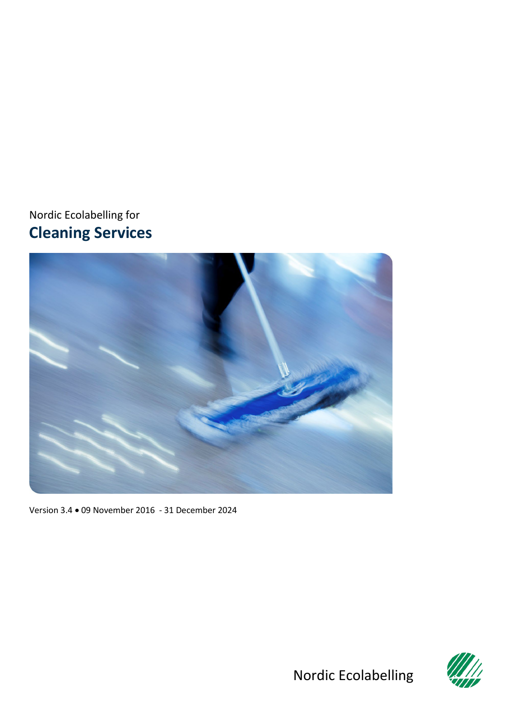<span id="page-0-0"></span>Nordic Ecolabelling for **Cleaning Services**



<span id="page-0-1"></span>Version 3.4 • 09 November 2016 - 31 December 2024



Nordic Ecolabelling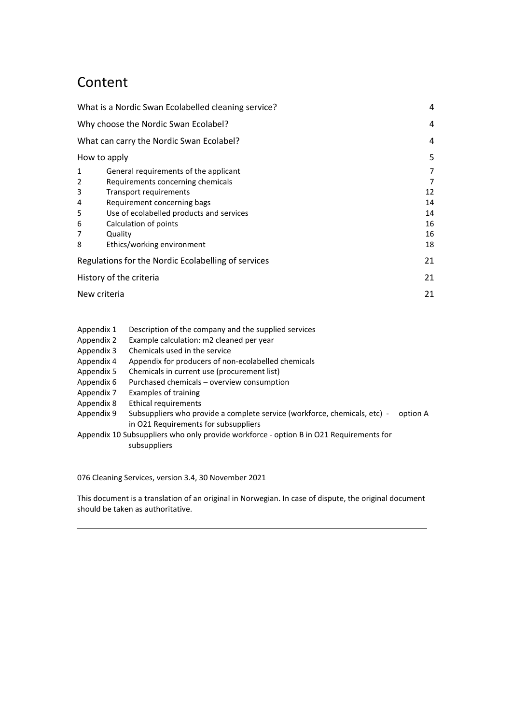# Content

|                | What is a Nordic Swan Ecolabelled cleaning service? | 4  |
|----------------|-----------------------------------------------------|----|
|                | Why choose the Nordic Swan Ecolabel?                |    |
|                | What can carry the Nordic Swan Ecolabel?            | 4  |
|                | How to apply                                        | 5  |
| 1              | General requirements of the applicant               | 7  |
| $\overline{2}$ | Requirements concerning chemicals                   | 7  |
| 3              | Transport requirements                              | 12 |
| 4              | Requirement concerning bags                         | 14 |
| 5              | Use of ecolabelled products and services            | 14 |
| 6              | Calculation of points                               | 16 |
| 7              | Quality                                             | 16 |
| 8              | Ethics/working environment                          | 18 |
|                | Regulations for the Nordic Ecolabelling of services | 21 |
|                | History of the criteria                             | 21 |
|                | New criteria                                        | 21 |
|                |                                                     |    |

- [Appendix 1 Description of the company and the supplied services](#page-21-0)
- [Appendix 2 Example calculation: m2 cleaned per year](#page-24-0)
- [Appendix 3 Chemicals used in the service](#page-25-0)
- [Appendix 4 Appendix for producers of non-ecolabelled chemicals](#page-26-0)
- [Appendix 5 Chemicals in current use \(procurement list\)](#page-31-0)
- [Appendix 6 Purchased chemicals –](#page-32-0) overview consumption
- [Appendix 7 Examples of training](#page-33-0)
- [Appendix 8 Ethical requirements](#page-34-0)
- Appendix 9 Subsuppliers who provide a complete service (workforce, chemicals, etc) option A [in O21 Requirements for subsuppliers](#page-36-0)

Appendix 10 [Subsuppliers who only provide workforce -](#page-37-0) option B in O21 Requirements for  [subsuppliers](#page-37-0)

<span id="page-1-1"></span><span id="page-1-0"></span>076 [Cleaning Services,](#page-0-0) version [3.4,](#page-0-1) 30 November 2021

This document is a translation of an original in Norwegian. In case of dispute, the original document should be taken as authoritative.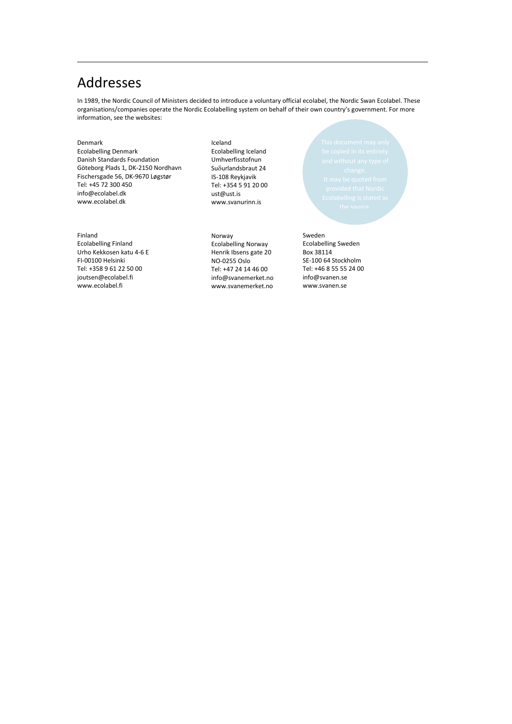## Addresses

In 1989, the Nordic Council of Ministers decided to introduce a voluntary official ecolabel, the Nordic Swan Ecolabel. These organisations/companies operate the Nordic Ecolabelling system on behalf of their own country's government. For more information, see the websites:

#### Denmark Ecolabelling Denmark Danish Standards Foundation Göteborg Plads 1, DK-2150 Nordhavn Fischersgade 56, DK-9670 Løgstør Tel: +45 72 300 450 info@ecolabel.dk www.ecolabel.dk

#### Finland

Ecolabelling Finland Urho Kekkosen katu 4-6 E FI-00100 Helsinki Tel: +358 9 61 22 50 00 joutsen@ecolabel.fi www.ecolabel.fi

#### Iceland Ecolabelling Iceland Umhverfisstofnun Suδurlandsbraut 24 IS-108 Reykjavik Tel: +354 5 91 20 00 ust@ust.is [www.svanurinn.is](http://www.svanurinn.is/)

Norway Ecolabelling Norway Henrik Ibsens gate 20 NO-0255 Oslo Tel: +47 24 14 46 00 info@svanemerket.no www.svanemerket.no

#### Sweden

Ecolabelling Sweden Box 38114 SE-100 64 Stockholm Tel: +46 8 55 55 24 00 info@svanen.se www.svanen.se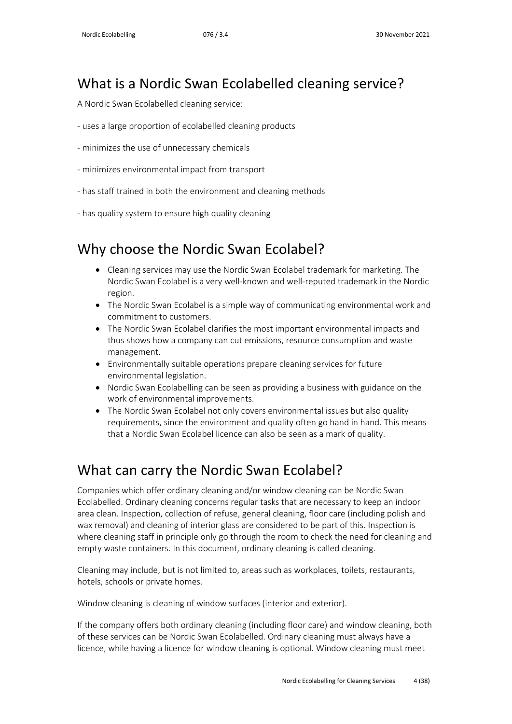## <span id="page-3-0"></span>What is a Nordic Swan Ecolabelled cleaning service?

A Nordic Swan Ecolabelled cleaning service:

- uses a large proportion of ecolabelled cleaning products
- minimizes the use of unnecessary chemicals
- minimizes environmental impact from transport
- has staff trained in both the environment and cleaning methods
- has quality system to ensure high quality cleaning

## <span id="page-3-1"></span>Why choose the Nordic Swan Ecolabel?

- Cleaning services may use the Nordic Swan Ecolabel trademark for marketing. The Nordic Swan Ecolabel is a very well-known and well-reputed trademark in the Nordic region.
- The Nordic Swan Ecolabel is a simple way of communicating environmental work and commitment to customers.
- The Nordic Swan Ecolabel clarifies the most important environmental impacts and thus shows how a company can cut emissions, resource consumption and waste management.
- Environmentally suitable operations prepare cleaning services for future environmental legislation.
- Nordic Swan Ecolabelling can be seen as providing a business with guidance on the work of environmental improvements.
- The Nordic Swan Ecolabel not only covers environmental issues but also quality requirements, since the environment and quality often go hand in hand. This means that a Nordic Swan Ecolabel licence can also be seen as a mark of quality.

## <span id="page-3-2"></span>What can carry the Nordic Swan Ecolabel?

Companies which offer ordinary cleaning and/or window cleaning can be Nordic Swan Ecolabelled. Ordinary cleaning concerns regular tasks that are necessary to keep an indoor area clean. Inspection, collection of refuse, general cleaning, floor care (including polish and wax removal) and cleaning of interior glass are considered to be part of this. Inspection is where cleaning staff in principle only go through the room to check the need for cleaning and empty waste containers. In this document, ordinary cleaning is called cleaning.

Cleaning may include, but is not limited to, areas such as workplaces, toilets, restaurants, hotels, schools or private homes.

Window cleaning is cleaning of window surfaces (interior and exterior).

If the company offers both ordinary cleaning (including floor care) and window cleaning, both of these services can be Nordic Swan Ecolabelled. Ordinary cleaning must always have a licence, while having a licence for window cleaning is optional. Window cleaning must meet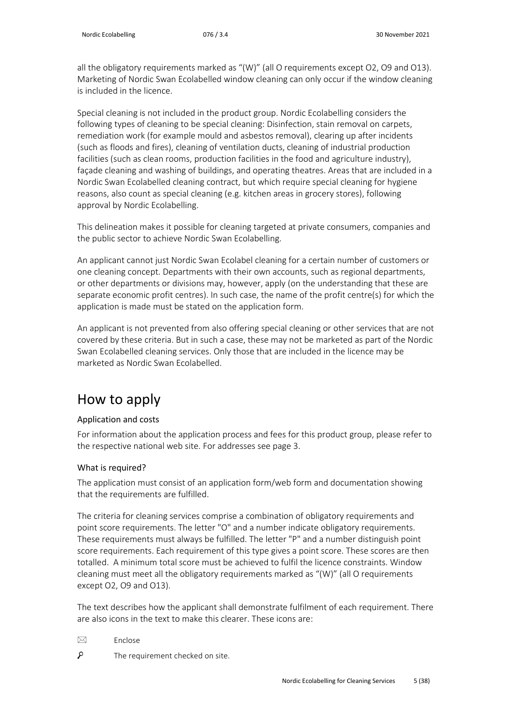all the obligatory requirements marked as "(W)" (all O requirements except O2, O9 and O13). Marketing of Nordic Swan Ecolabelled window cleaning can only occur if the window cleaning is included in the licence.

Special cleaning is not included in the product group. Nordic Ecolabelling considers the following types of cleaning to be special cleaning: Disinfection, stain removal on carpets, remediation work (for example mould and asbestos removal), clearing up after incidents (such as floods and fires), cleaning of ventilation ducts, cleaning of industrial production facilities (such as clean rooms, production facilities in the food and agriculture industry), façade cleaning and washing of buildings, and operating theatres. Areas that are included in a Nordic Swan Ecolabelled cleaning contract, but which require special cleaning for hygiene reasons, also count as special cleaning (e.g. kitchen areas in grocery stores), following approval by Nordic Ecolabelling.

This delineation makes it possible for cleaning targeted at private consumers, companies and the public sector to achieve Nordic Swan Ecolabelling.

An applicant cannot just Nordic Swan Ecolabel cleaning for a certain number of customers or one cleaning concept. Departments with their own accounts, such as regional departments, or other departments or divisions may, however, apply (on the understanding that these are separate economic profit centres). In such case, the name of the profit centre(s) for which the application is made must be stated on the application form.

An applicant is not prevented from also offering special cleaning or other services that are not covered by these criteria. But in such a case, these may not be marketed as part of the Nordic Swan Ecolabelled cleaning services. Only those that are included in the licence may be marketed as Nordic Swan Ecolabelled.

# <span id="page-4-0"></span>How to apply

#### Application and costs

For information about the application process and fees for this product group, please refer to the respective national web site. For addresses see page 3.

#### What is required?

The application must consist of an application form/web form and documentation showing that the requirements are fulfilled.

The criteria for cleaning services comprise a combination of obligatory requirements and point score requirements. The letter "O" and a number indicate obligatory requirements. These requirements must always be fulfilled. The letter "P" and a number distinguish point score requirements. Each requirement of this type gives a point score. These scores are then totalled. A minimum total score must be achieved to fulfil the licence constraints. Window cleaning must meet all the obligatory requirements marked as "(W)" (all O requirements except O2, O9 and O13).

The text describes how the applicant shall demonstrate fulfilment of each requirement. There are also icons in the text to make this clearer. These icons are:

- $\boxtimes$  Enclose
- q The requirement checked on site.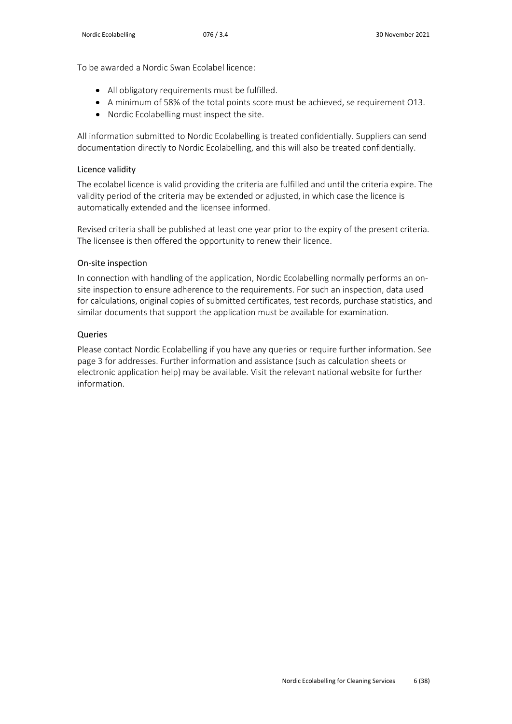To be awarded a Nordic Swan Ecolabel licence:

- All obligatory requirements must be fulfilled.
- A minimum of 58% of the total points score must be achieved, se requirement O13.
- Nordic Ecolabelling must inspect the site.

All information submitted to Nordic Ecolabelling is treated confidentially. Suppliers can send documentation directly to Nordic Ecolabelling, and this will also be treated confidentially.

#### Licence validity

The ecolabel licence is valid providing the criteria are fulfilled and until the criteria expire. The validity period of the criteria may be extended or adjusted, in which case the licence is automatically extended and the licensee informed.

Revised criteria shall be published at least one year prior to the expiry of the present criteria. The licensee is then offered the opportunity to renew their licence.

#### On-site inspection

In connection with handling of the application, Nordic Ecolabelling normally performs an onsite inspection to ensure adherence to the requirements. For such an inspection, data used for calculations, original copies of submitted certificates, test records, purchase statistics, and similar documents that support the application must be available for examination.

#### Queries

Please contact Nordic Ecolabelling if you have any queries or require further information. See page 3 for addresses. Further information and assistance (such as calculation sheets or electronic application help) may be available. Visit the relevant national website for further information.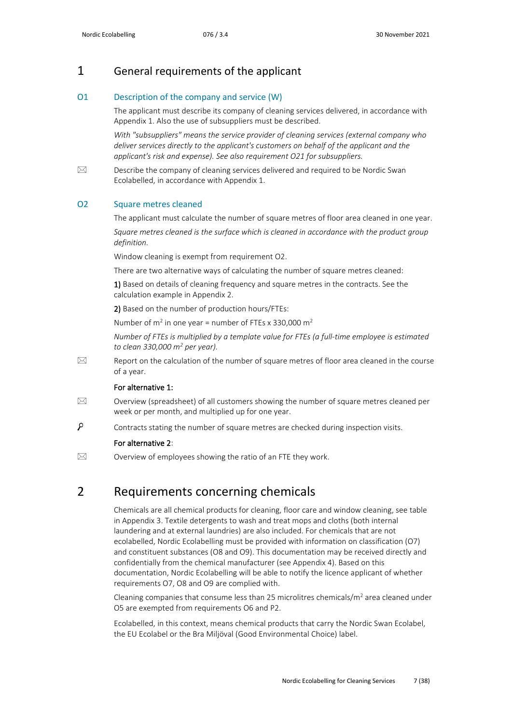### <span id="page-6-0"></span>1 General requirements of the applicant

#### O1 Description of the company and service (W)

The applicant must describe its company of cleaning services delivered, in accordance with Appendix 1. Also the use of subsuppliers must be described.

*With "subsuppliers" means the service provider of cleaning services (external company who deliver services directly to the applicant's customers on behalf of the applicant and the applicant's risk and expense). See also requirement O21 for subsuppliers.*

 $\boxtimes$  Describe the company of cleaning services delivered and required to be Nordic Swan Ecolabelled, in accordance with Appendix 1.

#### O2 Square metres cleaned

The applicant must calculate the number of square metres of floor area cleaned in one year. Square metres cleaned is the surface which is cleaned in accordance with the product group

*definition.* 

Window cleaning is exempt from requirement O2.

There are two alternative ways of calculating the number of square metres cleaned:

1) Based on details of cleaning frequency and square metres in the contracts. See the calculation example in Appendix 2.

2) Based on the number of production hours/FTEs:

Number of  $m^2$  in one year = number of FTEs x 330,000  $m^2$ 

*Number of FTEs is multiplied by a template value for FTEs (a full-time employee is estimated to clean 330,000 m2 per year).*

 $\boxtimes$  Report on the calculation of the number of square metres of floor area cleaned in the course of a year.

#### For alternative 1:

- $\boxtimes$  Overview (spreadsheet) of all customers showing the number of square metres cleaned per week or per month, and multiplied up for one year.
- م Contracts stating the number of square metres are checked during inspection visits.

#### For alternative 2:

<span id="page-6-1"></span> $\boxtimes$  Overview of employees showing the ratio of an FTE they work.

### 2 Requirements concerning chemicals

Chemicals are all chemical products for cleaning, floor care and window cleaning, see table in Appendix 3. Textile detergents to wash and treat mops and cloths (both internal laundering and at external laundries) are also included. For chemicals that are not ecolabelled, Nordic Ecolabelling must be provided with information on classification (O7) and constituent substances (O8 and O9). This documentation may be received directly and confidentially from the chemical manufacturer (see Appendix 4). Based on this documentation, Nordic Ecolabelling will be able to notify the licence applicant of whether requirements O7, O8 and O9 are complied with.

Cleaning companies that consume less than 25 microlitres chemicals/ $m<sup>2</sup>$  area cleaned under O5 are exempted from requirements O6 and P2.

Ecolabelled, in this context, means chemical products that carry the Nordic Swan Ecolabel, the EU Ecolabel or the Bra Miljöval (Good Environmental Choice) label.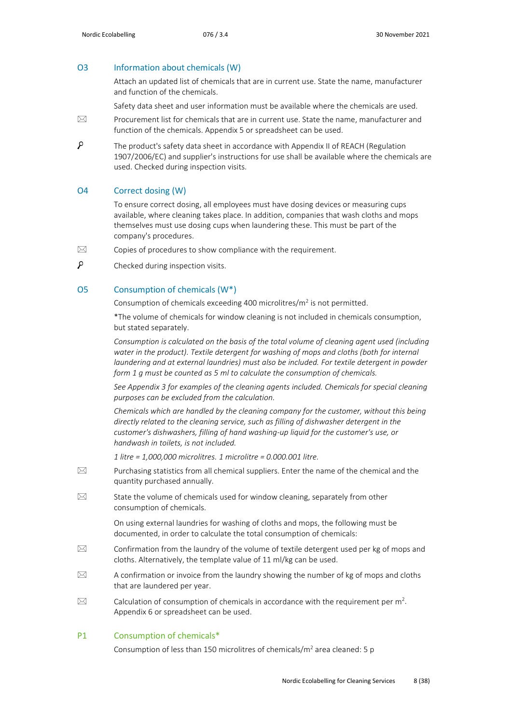#### O3 Information about chemicals (W)

Attach an updated list of chemicals that are in current use. State the name, manufacturer and function of the chemicals.

Safety data sheet and user information must be available where the chemicals are used.

- $\boxtimes$  Procurement list for chemicals that are in current use. State the name, manufacturer and function of the chemicals. Appendix 5 or spreadsheet can be used.
- Q The product's safety data sheet in accordance with Appendix II of REACH (Regulation 1907/2006/EC) and supplier's instructions for use shall be available where the chemicals are used. Checked during inspection visits.

#### O4 Correct dosing (W)

To ensure correct dosing, all employees must have dosing devices or measuring cups available, where cleaning takes place. In addition, companies that wash cloths and mops themselves must use dosing cups when laundering these. This must be part of the company's procedures.

- $\boxtimes$  Copies of procedures to show compliance with the requirement.
- $\mathcal{L}$ Checked during inspection visits.

#### O5 Consumption of chemicals (W\*)

Consumption of chemicals exceeding 400 microlitres/ $m^2$  is not permitted.

\*The volume of chemicals for window cleaning is not included in chemicals consumption, but stated separately.

*Consumption is calculated on the basis of the total volume of cleaning agent used (including water in the product). Textile detergent for washing of mops and cloths (both for internal laundering and at external laundries) must also be included. For textile detergent in powder form 1 g must be counted as 5 ml to calculate the consumption of chemicals.*

*See Appendix 3 for examples of the cleaning agents included. Chemicals for special cleaning purposes can be excluded from the calculation.*

*Chemicals which are handled by the cleaning company for the customer, without this being directly related to the cleaning service, such as filling of dishwasher detergent in the customer's dishwashers, filling of hand washing-up liquid for the customer's use, or handwash in toilets, is not included.* 

*1 litre = 1,000,000 microlitres. 1 microlitre = 0.000.001 litre.*

- $\boxtimes$  Purchasing statistics from all chemical suppliers. Enter the name of the chemical and the quantity purchased annually.
- $\boxtimes$  State the volume of chemicals used for window cleaning, separately from other consumption of chemicals.

On using external laundries for washing of cloths and mops, the following must be documented, in order to calculate the total consumption of chemicals:

- $\boxtimes$  Confirmation from the laundry of the volume of textile detergent used per kg of mops and cloths. Alternatively, the template value of 11 ml/kg can be used.
- $\boxtimes$  A confirmation or invoice from the laundry showing the number of kg of mops and cloths that are laundered per year.
- $\boxtimes$  Calculation of consumption of chemicals in accordance with the requirement per m<sup>2</sup>. Appendix 6 or spreadsheet can be used.

#### P1 Consumption of chemicals\*

Consumption of less than 150 microlitres of chemicals/ $m<sup>2</sup>$  area cleaned: 5 p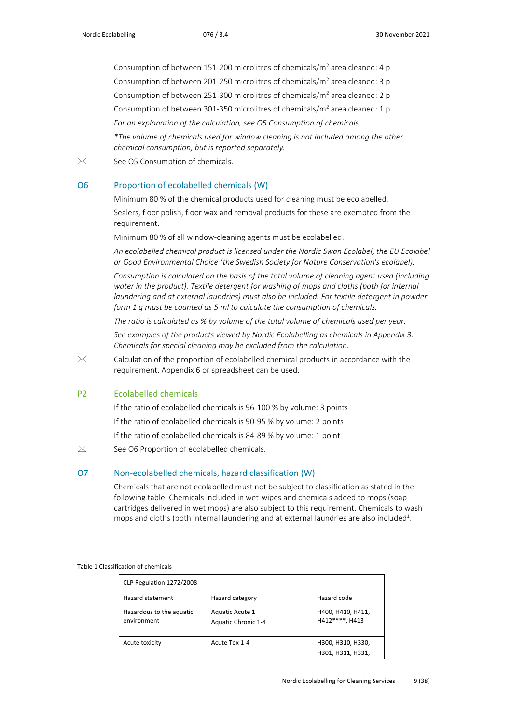Consumption of between 151-200 microlitres of chemicals/ $m<sup>2</sup>$  area cleaned: 4 p Consumption of between 201-250 microlitres of chemicals/m<sup>2</sup> area cleaned: 3 p Consumption of between 251-300 microlitres of chemicals/m<sup>2</sup> area cleaned: 2 p Consumption of between 301-350 microlitres of chemicals/ $m<sup>2</sup>$  area cleaned: 1 p *For an explanation of the calculation, see O5 Consumption of chemicals. \*The volume of chemicals used for window cleaning is not included among the other chemical consumption, but is reported separately.* 

 $\boxtimes$  See O5 Consumption of chemicals.

#### O6 Proportion of ecolabelled chemicals (W)

Minimum 80 % of the chemical products used for cleaning must be ecolabelled.

Sealers, floor polish, floor wax and removal products for these are exempted from the requirement.

Minimum 80 % of all window-cleaning agents must be ecolabelled.

*An ecolabelled chemical product is licensed under the Nordic Swan Ecolabel, the EU Ecolabel or Good Environmental Choice (the Swedish Society for Nature Conservation's ecolabel).*

*Consumption is calculated on the basis of the total volume of cleaning agent used (including water in the product). Textile detergent for washing of mops and cloths (both for internal laundering and at external laundries) must also be included. For textile detergent in powder form 1 g must be counted as 5 ml to calculate the consumption of chemicals.*

*The ratio is calculated as % by volume of the total volume of chemicals used per year.*

*See examples of the products viewed by Nordic Ecolabelling as chemicals in Appendix 3. Chemicals for special cleaning may be excluded from the calculation.*

 $\boxtimes$  Calculation of the proportion of ecolabelled chemical products in accordance with the requirement. Appendix 6 or spreadsheet can be used.

#### P2 Ecolabelled chemicals

If the ratio of ecolabelled chemicals is 96-100 % by volume: 3 points

If the ratio of ecolabelled chemicals is 90-95 % by volume: 2 points

If the ratio of ecolabelled chemicals is 84-89 % by volume: 1 point

 $\boxtimes$  See O6 Proportion of ecolabelled chemicals.

#### O7 Non-ecolabelled chemicals, hazard classification (W)

Chemicals that are not ecolabelled must not be subject to classification as stated in the following table. Chemicals included in wet-wipes and chemicals added to mops (soap cartridges delivered in wet mops) are also subject to this requirement. Chemicals to wash mops and cloths (both internal laundering and at external laundries are also included<sup>1</sup>.

#### Table 1 Classification of chemicals

| CLP Regulation 1272/2008                |                                        |                                        |  |  |
|-----------------------------------------|----------------------------------------|----------------------------------------|--|--|
| Hazard statement                        | Hazard category                        | Hazard code                            |  |  |
| Hazardous to the aquatic<br>environment | Aquatic Acute 1<br>Aquatic Chronic 1-4 | H400, H410, H411,<br>H412****, H413    |  |  |
| Acute toxicity                          | Acute Tox 1-4                          | H300, H310, H330,<br>H301, H311, H331, |  |  |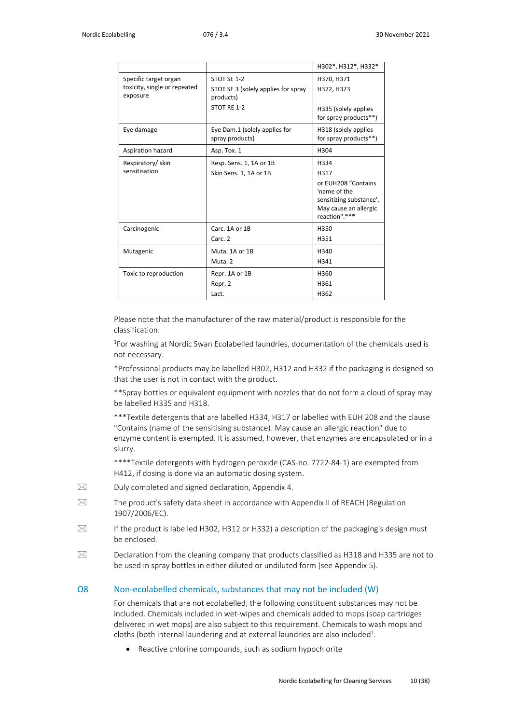|                                                                   |                                                                                | H302*, H312*, H332*                                                                                                      |
|-------------------------------------------------------------------|--------------------------------------------------------------------------------|--------------------------------------------------------------------------------------------------------------------------|
| Specific target organ<br>toxicity, single or repeated<br>exposure | STOT SE 1-2<br>STOT SE 3 (solely applies for spray<br>products)<br>STOT RE 1-2 | H370, H371<br>H372, H373<br>H335 (solely applies<br>for spray products**)                                                |
| Eye damage                                                        | Eye Dam.1 (solely applies for<br>spray products)                               | H318 (solely applies<br>for spray products**)                                                                            |
| Aspiration hazard                                                 | Asp. Tox. 1                                                                    | H304                                                                                                                     |
| Respiratory/skin<br>sensitisation                                 | Resp. Sens. 1, 1A or 1B<br>Skin Sens. 1, 1A or 1B                              | H334<br>H317<br>or EUH208 "Contains<br>'name of the<br>sensitizing substance'.<br>May cause an allergic<br>reaction".*** |
| Carcinogenic                                                      | Carc. 1A or 1B<br>Carc. 2                                                      | H350<br>H351                                                                                                             |
| Mutagenic                                                         | Muta. 1A or 1B<br>Muta. 2                                                      | H340<br>H341                                                                                                             |
| Toxic to reproduction                                             | Repr. 1A or 1B<br>Repr. 2<br>Lact.                                             | H360<br>H361<br>H362                                                                                                     |

Please note that the manufacturer of the raw material/product is responsible for the classification.

<sup>1</sup>For washing at Nordic Swan Ecolabelled laundries, documentation of the chemicals used is not necessary.

\*Professional products may be labelled H302, H312 and H332 if the packaging is designed so that the user is not in contact with the product.

\*\*Spray bottles or equivalent equipment with nozzles that do not form a cloud of spray may be labelled H335 and H318.

\*\*\*Textile detergents that are labelled H334, H317 or labelled with EUH 208 and the clause "Contains (name of the sensitising substance). May cause an allergic reaction" due to enzyme content is exempted. It is assumed, however, that enzymes are encapsulated or in a slurry.

\*\*\*\*Textile detergents with hydrogen peroxide (CAS-no. 7722-84-1) are exempted from H412, if dosing is done via an automatic dosing system.

- $\boxtimes$  Duly completed and signed declaration, Appendix 4.
- $\boxtimes$  The product's safety data sheet in accordance with Appendix II of REACH (Regulation 1907/2006/EC).
- $\boxtimes$  If the product is labelled H302, H312 or H332) a description of the packaging's design must be enclosed.
- $\boxtimes$  Declaration from the cleaning company that products classified as H318 and H335 are not to be used in spray bottles in either diluted or undiluted form (see Appendix 5).

#### O8 Non-ecolabelled chemicals, substances that may not be included (W)

For chemicals that are not ecolabelled, the following constituent substances may not be included. Chemicals included in wet-wipes and chemicals added to mops (soap cartridges delivered in wet mops) are also subject to this requirement. Chemicals to wash mops and cloths (both internal laundering and at external laundries are also included<sup>1</sup>.

• Reactive chlorine compounds, such as sodium hypochlorite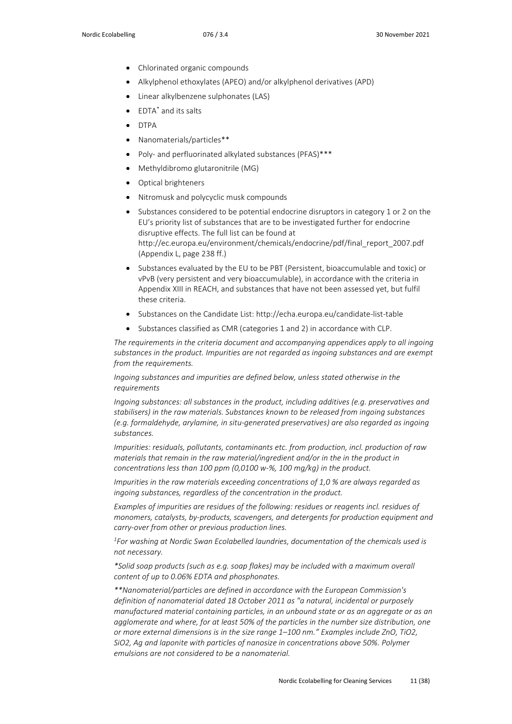- Chlorinated organic compounds
- Alkylphenol ethoxylates (APEO) and/or alkylphenol derivatives (APD)
- Linear alkylbenzene sulphonates (LAS)
- EDTA\* and its salts
- DTPA
- Nanomaterials/particles\*\*
- Poly- and perfluorinated alkylated substances (PFAS)\*\*\*
- Methyldibromo glutaronitrile (MG)
- Optical brighteners
- Nitromusk and polycyclic musk compounds
- Substances considered to be potential endocrine disruptors in category 1 or 2 on the EU's priority list of substances that are to be investigated further for endocrine disruptive effects. The full list can be found at [http://ec.europa.eu/environment/chemicals/endocrine/pdf/final\\_report\\_2007.pdf](http://ec.europa.eu/environment/chemicals/endocrine/pdf/final_report_2007.pdf) (Appendix L, page 238 ff.)
- Substances evaluated by the EU to be PBT (Persistent, bioaccumulable and toxic) or vPvB (very persistent and very bioaccumulable), in accordance with the criteria in Appendix XIII in REACH, and substances that have not been assessed yet, but fulfil these criteria.
- Substances on the Candidate List: http://echa.europa.eu/candidate-list-table
- Substances classified as CMR (categories 1 and 2) in accordance with CLP.

*The requirements in the criteria document and accompanying appendices apply to all ingoing substances in the product. Impurities are not regarded as ingoing substances and are exempt from the requirements.*

*Ingoing substances and impurities are defined below, unless stated otherwise in the requirements*

*Ingoing substances: all substances in the product, including additives (e.g. preservatives and stabilisers) in the raw materials. Substances known to be released from ingoing substances (e.g. formaldehyde, arylamine, in situ-generated preservatives) are also regarded as ingoing substances.*

*Impurities: residuals, pollutants, contaminants etc. from production, incl. production of raw materials that remain in the raw material/ingredient and/or in the in the product in concentrations less than 100 ppm (0,0100 w-%, 100 mg/kg) in the product.* 

*Impurities in the raw materials exceeding concentrations of 1,0 % are always regarded as ingoing substances, regardless of the concentration in the product.*

Examples of impurities are residues of the following: residues or reagents incl. residues of *monomers, catalysts, by-products, scavengers, and detergents for production equipment and carry-over from other or previous production lines.*

*1 For washing at Nordic Swan Ecolabelled laundries, documentation of the chemicals used is not necessary.*

*\*Solid soap products (such as e.g. soap flakes) may be included with a maximum overall content of up to 0.06% EDTA and phosphonates.* 

*\*\*Nanomaterial/particles are defined in accordance with the European Commission's definition of nanomaterial dated 18 October 2011 as "a natural, incidental or purposely manufactured material containing particles, in an unbound state or as an aggregate or as an agglomerate and where, for at least 50% of the particles in the number size distribution, one or more external dimensions is in the size range 1–100 nm." Examples include ZnO, TiO2, SiO2, Ag and laponite with particles of nanosize in concentrations above 50%. Polymer emulsions are not considered to be a nanomaterial.*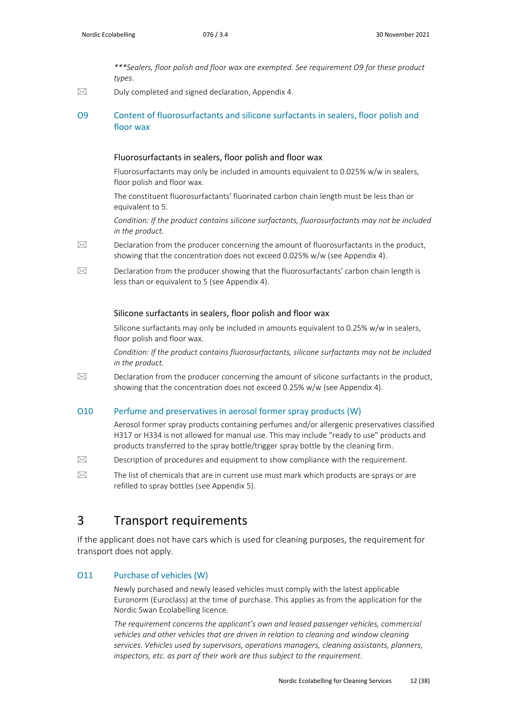*\*\*\*Sealers, floor polish and floor wax are exempted. See requirement O9 for these product types.*

 $\boxtimes$  Duly completed and signed declaration, Appendix 4.

#### O9 Content of fluorosurfactants and silicone surfactants in sealers, floor polish and floor wax

#### Fluorosurfactants in sealers, floor polish and floor wax

Fluorosurfactants may only be included in amounts equivalent to 0.025% w/w in sealers, floor polish and floor wax.

The constituent fluorosurfactants' fluorinated carbon chain length must be less than or equivalent to 5.

*Condition: If the product contains silicone surfactants, fluorosurfactants may not be included in the product.*

- $\boxtimes$  Declaration from the producer concerning the amount of fluorosurfactants in the product, showing that the concentration does not exceed 0.025% w/w (see Appendix 4).
- $\boxtimes$  Declaration from the producer showing that the fluorosurfactants' carbon chain length is less than or equivalent to 5 (see Appendix 4).

#### Silicone surfactants in sealers, floor polish and floor wax

Silicone surfactants may only be included in amounts equivalent to 0.25% w/w in sealers, floor polish and floor wax.

*Condition: If the product contains fluorosurfactants, silicone surfactants may not be included in the product.*

 $\boxtimes$  Declaration from the producer concerning the amount of silicone surfactants in the product, showing that the concentration does not exceed 0.25% w/w (see Appendix 4).

#### O10 Perfume and preservatives in aerosol former spray products (W)

Aerosol former spray products containing perfumes and/or allergenic preservatives classified H317 or H334 is not allowed for manual use. This may include "ready to use" products and products transferred to the spray bottle/trigger spray bottle by the cleaning firm.

- $\boxtimes$  Description of procedures and equipment to show compliance with the requirement.
- $\boxtimes$  The list of chemicals that are in current use must mark which products are sprays or are refilled to spray bottles (see Appendix 5).

### <span id="page-11-0"></span>3 Transport requirements

If the applicant does not have cars which is used for cleaning purposes, the requirement for transport does not apply.

#### O11 Purchase of vehicles (W)

Newly purchased and newly leased vehicles must comply with the latest applicable Euronorm (Euroclass) at the time of purchase. This applies as from the application for the Nordic Swan Ecolabelling licence.

*The requirement concerns the applicant's own and leased passenger vehicles, commercial vehicles and other vehicles that are driven in relation to cleaning and window cleaning services. Vehicles used by supervisors, operations managers, cleaning assistants, planners, inspectors, etc. as part of their work are thus subject to the requirement.*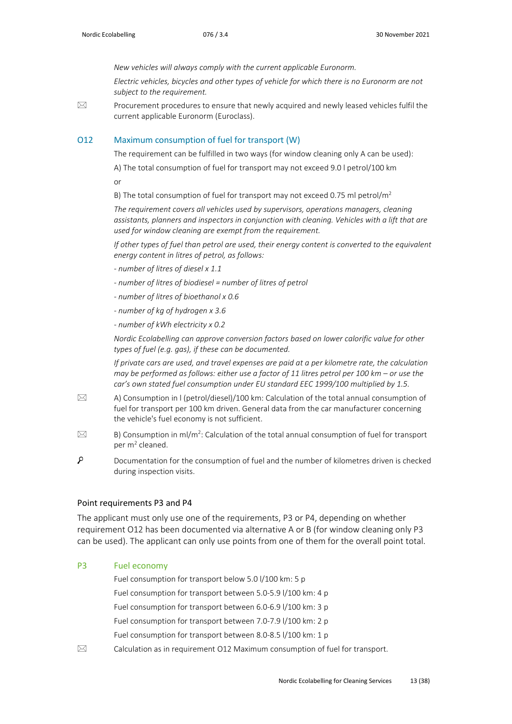*New vehicles will always comply with the current applicable Euronorm.*

*Electric vehicles, bicycles and other types of vehicle for which there is no Euronorm are not subject to the requirement.* 

 $\boxtimes$  Procurement procedures to ensure that newly acquired and newly leased vehicles fulfil the current applicable Euronorm (Euroclass).

#### O12 Maximum consumption of fuel for transport (W)

The requirement can be fulfilled in two ways (for window cleaning only A can be used):

A) The total consumption of fuel for transport may not exceed 9.0 l petrol/100 km

or

B) The total consumption of fuel for transport may not exceed 0.75 ml petrol/ $m<sup>2</sup>$ 

*The requirement covers all vehicles used by supervisors, operations managers, cleaning assistants, planners and inspectors in conjunction with cleaning. Vehicles with a lift that are used for window cleaning are exempt from the requirement.*

*If other types of fuel than petrol are used, their energy content is converted to the equivalent energy content in litres of petrol, as follows:*

- *- number of litres of diesel x 1.1*
- *- number of litres of biodiesel = number of litres of petrol*
- *- number of litres of bioethanol x 0.6*
- *- number of kg of hydrogen x 3.6*
- *- number of kWh electricity x 0.2*

*Nordic Ecolabelling can approve conversion factors based on lower calorific value for other types of fuel (e.g. gas), if these can be documented.* 

*If private cars are used, and travel expenses are paid at a per kilometre rate, the calculation may be performed as follows: either use a factor of 11 litres petrol per 100 km – or use the car's own stated fuel consumption under EU standard EEC 1999/100 multiplied by 1.5.*

- $\boxtimes$  A) Consumption in I (petrol/diesel)/100 km: Calculation of the total annual consumption of fuel for transport per 100 km driven. General data from the car manufacturer concerning the vehicle's fuel economy is not sufficient.
- $\boxtimes$  B) Consumption in ml/m<sup>2</sup>: Calculation of the total annual consumption of fuel for transport per  $m^2$  cleaned.
- م Documentation for the consumption of fuel and the number of kilometres driven is checked during inspection visits.

#### Point requirements P3 and P4

The applicant must only use one of the requirements, P3 or P4, depending on whether requirement O12 has been documented via alternative A or B (for window cleaning only P3 can be used). The applicant can only use points from one of them for the overall point total.

#### P3 Fuel economy

Fuel consumption for transport below 5.0 l/100 km: 5 p Fuel consumption for transport between 5.0-5.9 l/100 km: 4 p Fuel consumption for transport between 6.0-6.9 l/100 km: 3 p Fuel consumption for transport between 7.0-7.9 l/100 km: 2 p Fuel consumption for transport between 8.0-8.5 l/100 km: 1 p

 $\boxtimes$  Calculation as in requirement O12 Maximum consumption of fuel for transport.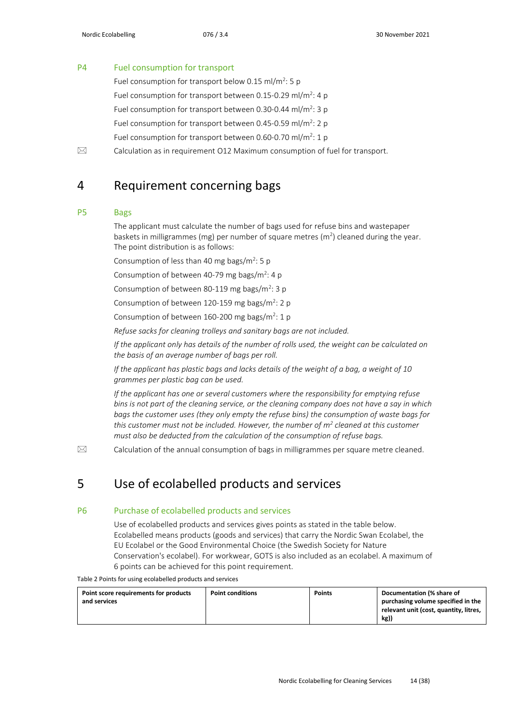#### P4 Fuel consumption for transport

Fuel consumption for transport below 0.15 ml/m<sup>2</sup>: 5 p Fuel consumption for transport between 0.15-0.29 ml/m<sup>2</sup>: 4 p Fuel consumption for transport between 0.30-0.44 ml/m<sup>2</sup>: 3 p Fuel consumption for transport between 0.45-0.59 ml/m<sup>2</sup>: 2 p Fuel consumption for transport between 0.60-0.70 ml/m<sup>2</sup>: 1 p

<span id="page-13-0"></span> $\boxtimes$  Calculation as in requirement O12 Maximum consumption of fuel for transport.

### 4 Requirement concerning bags

#### P5 Bags

The applicant must calculate the number of bags used for refuse bins and wastepaper baskets in milligrammes (mg) per number of square metres ( $m<sup>2</sup>$ ) cleaned during the year. The point distribution is as follows:

Consumption of less than 40 mg bags/ $m^2$ : 5 p

Consumption of between 40-79 mg bags/ $m^2$ : 4 p

Consumption of between 80-119 mg bags/ $m^2$ : 3 p

Consumption of between 120-159 mg bags/m<sup>2</sup>: 2 p

Consumption of between  $160-200$  mg bags/m<sup>2</sup>: 1 p

*Refuse sacks for cleaning trolleys and sanitary bags are not included.*

*If the applicant only has details of the number of rolls used, the weight can be calculated on the basis of an average number of bags per roll.*

*If the applicant has plastic bags and lacks details of the weight of a bag, a weight of 10 grammes per plastic bag can be used.*

*If the applicant has one or several customers where the responsibility for emptying refuse bins is not part of the cleaning service, or the cleaning company does not have a say in which bags the customer uses (they only empty the refuse bins) the consumption of waste bags for this customer must not be included. However, the number of m<sup>2</sup> <i>cleaned at this customer must also be deducted from the calculation of the consumption of refuse bags.*

<span id="page-13-1"></span> $\boxtimes$  Calculation of the annual consumption of bags in milligrammes per square metre cleaned.

### 5 Use of ecolabelled products and services

#### P6 Purchase of ecolabelled products and services

Use of ecolabelled products and services gives points as stated in the table below. Ecolabelled means products (goods and services) that carry the Nordic Swan Ecolabel, the EU Ecolabel or the Good Environmental Choice (the Swedish Society for Nature Conservation's ecolabel). For workwear, GOTS is also included as an ecolabel. A maximum of 6 points can be achieved for this point requirement.

Table 2 Points for using ecolabelled products and services

| Point score requirements for products<br>and services | <b>Point conditions</b> | <b>Points</b> | Documentation (% share of<br>purchasing volume specified in the<br>relevant unit (cost, quantity, litres,<br>kg) |
|-------------------------------------------------------|-------------------------|---------------|------------------------------------------------------------------------------------------------------------------|
|                                                       |                         |               |                                                                                                                  |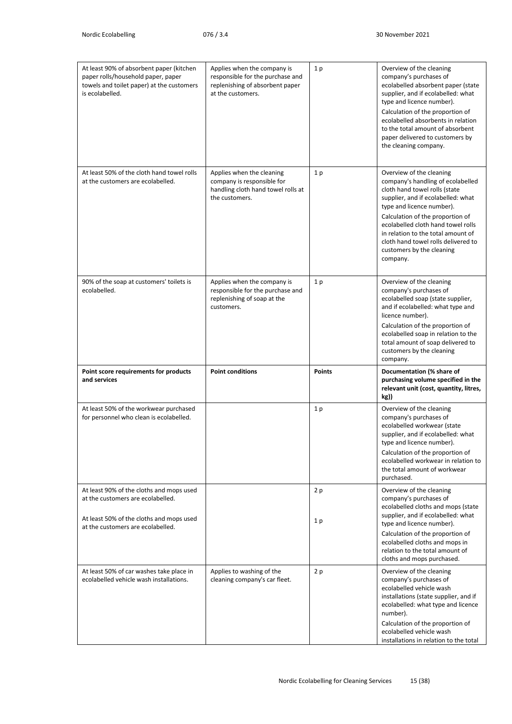| At least 90% of absorbent paper (kitchen<br>paper rolls/household paper, paper<br>towels and toilet paper) at the customers<br>is ecolabelled. | Applies when the company is<br>responsible for the purchase and<br>replenishing of absorbent paper<br>at the customers. | 1 <sub>p</sub>       | Overview of the cleaning<br>company's purchases of<br>ecolabelled absorbent paper (state<br>supplier, and if ecolabelled: what<br>type and licence number).<br>Calculation of the proportion of<br>ecolabelled absorbents in relation<br>to the total amount of absorbent<br>paper delivered to customers by<br>the cleaning company.                             |
|------------------------------------------------------------------------------------------------------------------------------------------------|-------------------------------------------------------------------------------------------------------------------------|----------------------|-------------------------------------------------------------------------------------------------------------------------------------------------------------------------------------------------------------------------------------------------------------------------------------------------------------------------------------------------------------------|
| At least 50% of the cloth hand towel rolls<br>at the customers are ecolabelled.                                                                | Applies when the cleaning<br>company is responsible for<br>handling cloth hand towel rolls at<br>the customers.         | 1 <sub>p</sub>       | Overview of the cleaning<br>company's handling of ecolabelled<br>cloth hand towel rolls (state<br>supplier, and if ecolabelled: what<br>type and licence number).<br>Calculation of the proportion of<br>ecolabelled cloth hand towel rolls<br>in relation to the total amount of<br>cloth hand towel rolls delivered to<br>customers by the cleaning<br>company. |
| 90% of the soap at customers' toilets is<br>ecolabelled.                                                                                       | Applies when the company is<br>responsible for the purchase and<br>replenishing of soap at the<br>customers.            | 1 <sub>p</sub>       | Overview of the cleaning<br>company's purchases of<br>ecolabelled soap (state supplier,<br>and if ecolabelled: what type and<br>licence number).<br>Calculation of the proportion of<br>ecolabelled soap in relation to the<br>total amount of soap delivered to<br>customers by the cleaning<br>company.                                                         |
| Point score requirements for products<br>and services                                                                                          | <b>Point conditions</b>                                                                                                 | <b>Points</b>        | Documentation (% share of<br>purchasing volume specified in the<br>relevant unit (cost, quantity, litres,<br>kg))                                                                                                                                                                                                                                                 |
| At least 50% of the workwear purchased<br>for personnel who clean is ecolabelled.                                                              |                                                                                                                         | 1p                   | Overview of the cleaning<br>company's purchases of<br>ecolabelled workwear (state<br>supplier, and if ecolabelled: what<br>type and licence number).<br>Calculation of the proportion of<br>ecolabelled workwear in relation to<br>the total amount of workwear<br>purchased.                                                                                     |
| At least 90% of the cloths and mops used<br>at the customers are ecolabelled.<br>At least 50% of the cloths and mops used                      |                                                                                                                         | 2p<br>1 <sub>p</sub> | Overview of the cleaning<br>company's purchases of<br>ecolabelled cloths and mops (state<br>supplier, and if ecolabelled: what                                                                                                                                                                                                                                    |
| at the customers are ecolabelled.                                                                                                              |                                                                                                                         |                      | type and licence number).<br>Calculation of the proportion of<br>ecolabelled cloths and mops in<br>relation to the total amount of<br>cloths and mops purchased.                                                                                                                                                                                                  |
| At least 50% of car washes take place in<br>ecolabelled vehicle wash installations.                                                            | Applies to washing of the<br>cleaning company's car fleet.                                                              | 2p                   | Overview of the cleaning<br>company's purchases of<br>ecolabelled vehicle wash<br>installations (state supplier, and if<br>ecolabelled: what type and licence<br>number).<br>Calculation of the proportion of<br>ecolabelled vehicle wash<br>installations in relation to the total                                                                               |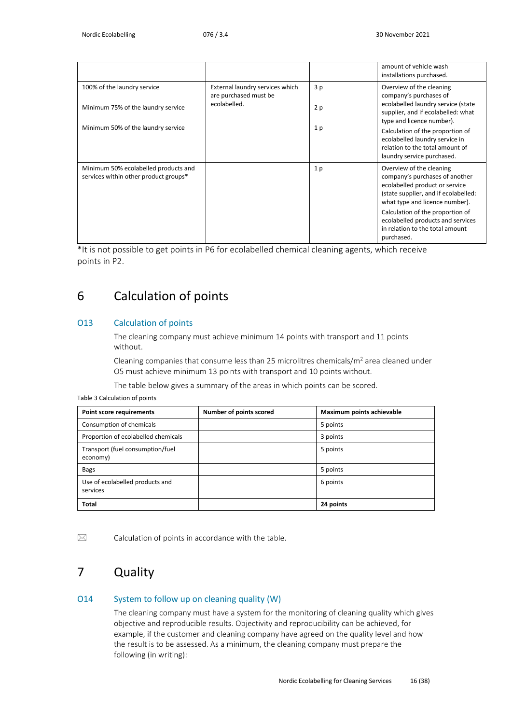|                                                                                                         |                                                                          |                 | amount of vehicle wash<br>installations purchased.                                                                                                                                                                                                                                                 |
|---------------------------------------------------------------------------------------------------------|--------------------------------------------------------------------------|-----------------|----------------------------------------------------------------------------------------------------------------------------------------------------------------------------------------------------------------------------------------------------------------------------------------------------|
| 100% of the laundry service<br>Minimum 75% of the laundry service<br>Minimum 50% of the laundry service | External laundry services which<br>are purchased must be<br>ecolabelled. | 3p<br>2p<br>1 p | Overview of the cleaning<br>company's purchases of<br>ecolabelled laundry service (state<br>supplier, and if ecolabelled: what<br>type and licence number).<br>Calculation of the proportion of<br>ecolabelled laundry service in<br>relation to the total amount of<br>laundry service purchased. |
| Minimum 50% ecolabelled products and<br>services within other product groups*                           |                                                                          | 1 <sub>p</sub>  | Overview of the cleaning<br>company's purchases of another<br>ecolabelled product or service<br>(state supplier, and if ecolabelled:<br>what type and licence number).<br>Calculation of the proportion of<br>ecolabelled products and services<br>in relation to the total amount<br>purchased.   |

\*It is not possible to get points in P6 for ecolabelled chemical cleaning agents, which receive points in P2.

### <span id="page-15-0"></span>6 Calculation of points

#### O13 Calculation of points

The cleaning company must achieve minimum 14 points with transport and 11 points without.

Cleaning companies that consume less than 25 microlitres chemicals/ $m<sup>2</sup>$  area cleaned under O5 must achieve minimum 13 points with transport and 10 points without.

The table below gives a summary of the areas in which points can be scored.

Table 3 Calculation of points

| <b>Point score requirements</b>              | Number of points scored | Maximum points achievable |
|----------------------------------------------|-------------------------|---------------------------|
| Consumption of chemicals                     |                         | 5 points                  |
| Proportion of ecolabelled chemicals          |                         | 3 points                  |
| Transport (fuel consumption/fuel<br>economy) |                         | 5 points                  |
| <b>Bags</b>                                  |                         | 5 points                  |
| Use of ecolabelled products and<br>services  |                         | 6 points                  |
| <b>Total</b>                                 |                         | 24 points                 |

<span id="page-15-1"></span> $\boxtimes$  Calculation of points in accordance with the table.

## 7 Quality

#### O14 System to follow up on cleaning quality (W)

The cleaning company must have a system for the monitoring of cleaning quality which gives objective and reproducible results. Objectivity and reproducibility can be achieved, for example, if the customer and cleaning company have agreed on the quality level and how the result is to be assessed. As a minimum, the cleaning company must prepare the following (in writing):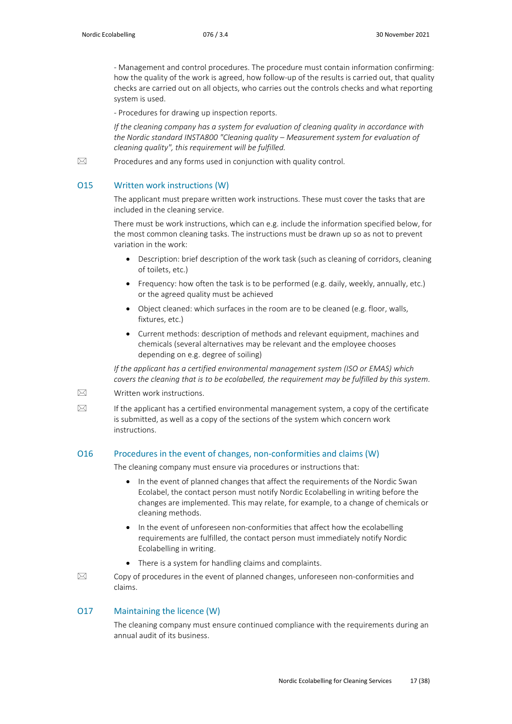- Management and control procedures. The procedure must contain information confirming: how the quality of the work is agreed, how follow-up of the results is carried out, that quality checks are carried out on all objects, who carries out the controls checks and what reporting system is used.

- Procedures for drawing up inspection reports.

*If the cleaning company has a system for evaluation of cleaning quality in accordance with the Nordic standard INSTA800 "Cleaning quality – Measurement system for evaluation of cleaning quality", this requirement will be fulfilled.*

 $\boxtimes$  Procedures and any forms used in conjunction with quality control.

#### O15 Written work instructions (W)

The applicant must prepare written work instructions. These must cover the tasks that are included in the cleaning service.

There must be work instructions, which can e.g. include the information specified below, for the most common cleaning tasks. The instructions must be drawn up so as not to prevent variation in the work:

- Description: brief description of the work task (such as cleaning of corridors, cleaning of toilets, etc.)
- Frequency: how often the task is to be performed (e.g. daily, weekly, annually, etc.) or the agreed quality must be achieved
- Object cleaned: which surfaces in the room are to be cleaned (e.g. floor, walls, fixtures, etc.)
- Current methods: description of methods and relevant equipment, machines and chemicals (several alternatives may be relevant and the employee chooses depending on e.g. degree of soiling)

*If the applicant has a certified environmental management system (ISO or EMAS) which covers the cleaning that is to be ecolabelled, the requirement may be fulfilled by this system.*

 $\boxtimes$  Written work instructions.

 $\boxtimes$  If the applicant has a certified environmental management system, a copy of the certificate is submitted, as well as a copy of the sections of the system which concern work instructions.

#### O16 Procedures in the event of changes, non-conformities and claims (W)

The cleaning company must ensure via procedures or instructions that:

- In the event of planned changes that affect the requirements of the Nordic Swan Ecolabel, the contact person must notify Nordic Ecolabelling in writing before the changes are implemented. This may relate, for example, to a change of chemicals or cleaning methods.
- In the event of unforeseen non-conformities that affect how the ecolabelling requirements are fulfilled, the contact person must immediately notify Nordic Ecolabelling in writing.
- There is a system for handling claims and complaints.
- $\boxtimes$  Copy of procedures in the event of planned changes, unforeseen non-conformities and claims.

#### O17 Maintaining the licence (W)

The cleaning company must ensure continued compliance with the requirements during an annual audit of its business.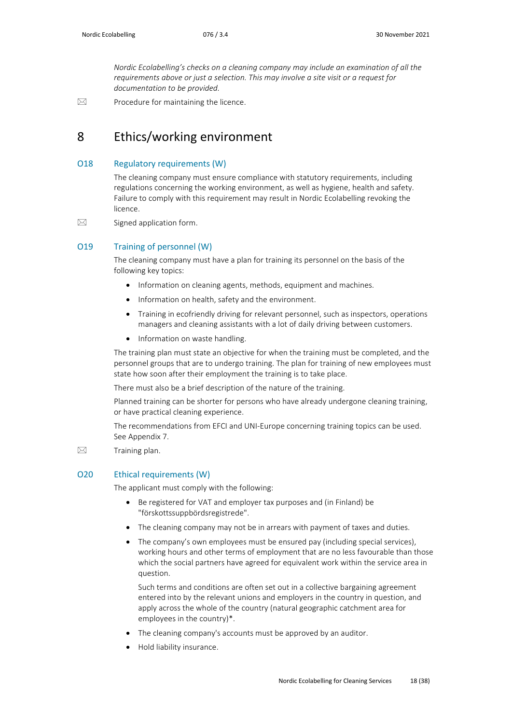*Nordic Ecolabelling's checks on a cleaning company may include an examination of all the requirements above or just a selection. This may involve a site visit or a request for documentation to be provided.*

<span id="page-17-0"></span> $\boxtimes$  Procedure for maintaining the licence.

### 8 Ethics/working environment

#### O18 Regulatory requirements (W)

The cleaning company must ensure compliance with statutory requirements, including regulations concerning the working environment, as well as hygiene, health and safety. Failure to comply with this requirement may result in Nordic Ecolabelling revoking the licence.

 $\boxtimes$  Signed application form.

#### O19 Training of personnel (W)

The cleaning company must have a plan for training its personnel on the basis of the following key topics:

- Information on cleaning agents, methods, equipment and machines.
- Information on health, safety and the environment.
- Training in ecofriendly driving for relevant personnel, such as inspectors, operations managers and cleaning assistants with a lot of daily driving between customers.
- Information on waste handling.

The training plan must state an objective for when the training must be completed, and the personnel groups that are to undergo training. The plan for training of new employees must state how soon after their employment the training is to take place.

There must also be a brief description of the nature of the training.

Planned training can be shorter for persons who have already undergone cleaning training, or have practical cleaning experience.

The recommendations from EFCI and UNI-Europe concerning training topics can be used. See Appendix 7.

 $\boxtimes$  Training plan.

#### O20 Ethical requirements (W)

The applicant must comply with the following:

- Be registered for VAT and employer tax purposes and (in Finland) be "förskottssuppbördsregistrede".
- The cleaning company may not be in arrears with payment of taxes and duties.
- The company's own employees must be ensured pay (including special services), working hours and other terms of employment that are no less favourable than those which the social partners have agreed for equivalent work within the service area in question.

Such terms and conditions are often set out in a collective bargaining agreement entered into by the relevant unions and employers in the country in question, and apply across the whole of the country (natural geographic catchment area for employees in the country)\*.

- The cleaning company's accounts must be approved by an auditor.
- Hold liability insurance.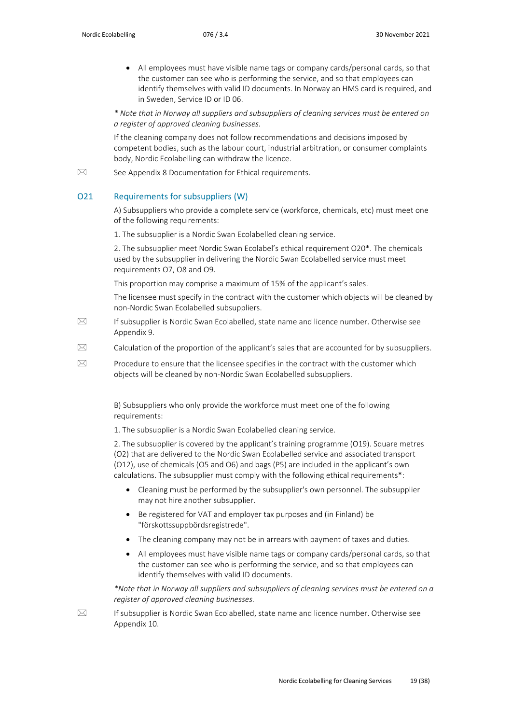• All employees must have visible name tags or company cards/personal cards, so that the customer can see who is performing the service, and so that employees can identify themselves with valid ID documents. In Norway an HMS card is required, and in Sweden, Service ID or ID 06.

*\* Note that in Norway all suppliers and subsuppliers of cleaning services must be entered on a register of approved cleaning businesses.*

If the cleaning company does not follow recommendations and decisions imposed by competent bodies, such as the labour court, industrial arbitration, or consumer complaints body, Nordic Ecolabelling can withdraw the licence.

 $\boxtimes$  See Appendix 8 Documentation for Ethical requirements.

#### O21 Requirements for subsuppliers (W)

A) Subsuppliers who provide a complete service (workforce, chemicals, etc) must meet one of the following requirements:

1. The subsupplier is a Nordic Swan Ecolabelled cleaning service.

2. The subsupplier meet Nordic Swan Ecolabel's ethical requirement O20\*. The chemicals used by the subsupplier in delivering the Nordic Swan Ecolabelled service must meet requirements O7, O8 and O9.

This proportion may comprise a maximum of 15% of the applicant's sales.

The licensee must specify in the contract with the customer which objects will be cleaned by non-Nordic Swan Ecolabelled subsuppliers.

- $\boxtimes$  If subsupplier is Nordic Swan Ecolabelled, state name and licence number. Otherwise see Appendix 9.
- $\boxtimes$  Calculation of the proportion of the applicant's sales that are accounted for by subsuppliers.
- **Procedure to ensure that the licensee specifies in the contract with the customer which** objects will be cleaned by non-Nordic Swan Ecolabelled subsuppliers.

B) Subsuppliers who only provide the workforce must meet one of the following requirements:

1. The subsupplier is a Nordic Swan Ecolabelled cleaning service.

2. The subsupplier is covered by the applicant's training programme (O19). Square metres (O2) that are delivered to the Nordic Swan Ecolabelled service and associated transport (O12), use of chemicals (O5 and O6) and bags (P5) are included in the applicant's own calculations. The subsupplier must comply with the following ethical requirements\*:

- Cleaning must be performed by the subsupplier's own personnel. The subsupplier may not hire another subsupplier.
- Be registered for VAT and employer tax purposes and (in Finland) be "förskottssuppbördsregistrede".
- The cleaning company may not be in arrears with payment of taxes and duties.
- All employees must have visible name tags or company cards/personal cards, so that the customer can see who is performing the service, and so that employees can identify themselves with valid ID documents.

*\*Note that in Norway all suppliers and subsuppliers of cleaning services must be entered on a register of approved cleaning businesses.*

 $\boxtimes$  If subsupplier is Nordic Swan Ecolabelled, state name and licence number. Otherwise see Appendix 10.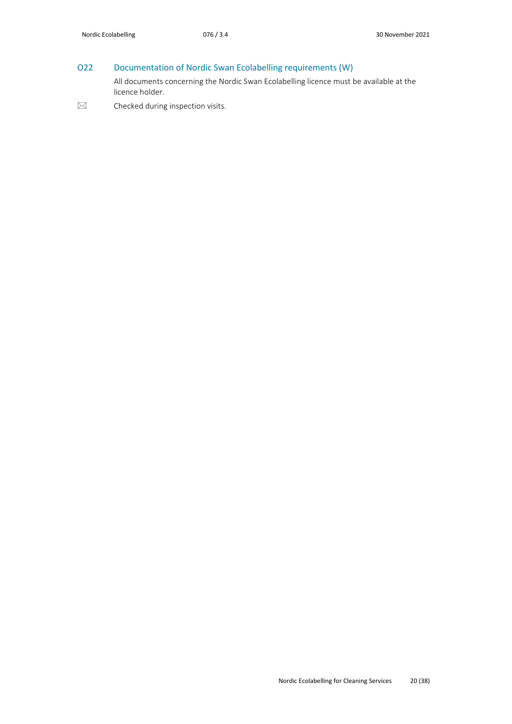### O22 Documentation of Nordic Swan Ecolabelling requirements (W)

All documents concerning the Nordic Swan Ecolabelling licence must be available at the licence holder.

<span id="page-19-0"></span> $\boxtimes$  Checked during inspection visits.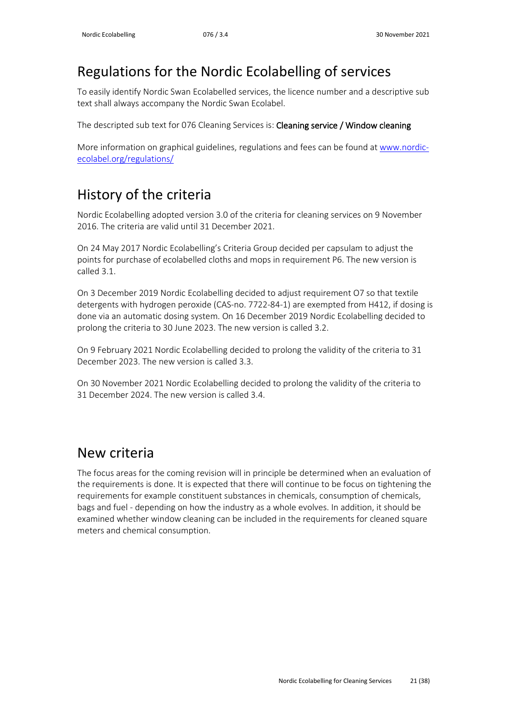# Regulations for the Nordic Ecolabelling of services

To easily identify Nordic Swan Ecolabelled services, the licence number and a descriptive sub text shall always accompany the Nordic Swan Ecolabel.

The descripted sub text for 076 Cleaning Services is: Cleaning service / Window cleaning

More information on graphical guidelines, regulations and fees can be found a[t www.nordic](http://www.nordic-ecolabel.org/regulations/)[ecolabel.org/regulations/](http://www.nordic-ecolabel.org/regulations/)

# <span id="page-20-0"></span>History of the criteria

Nordic Ecolabelling adopted version 3.0 of the criteria for cleaning services on 9 November 2016. The criteria are valid until 31 December 2021.

On 24 May 2017 Nordic Ecolabelling's Criteria Group decided per capsulam to adjust the points for purchase of ecolabelled cloths and mops in requirement P6. The new version is called 3.1.

On 3 December 2019 Nordic Ecolabelling decided to adjust requirement O7 so that textile detergents with hydrogen peroxide (CAS-no. 7722-84-1) are exempted from H412, if dosing is done via an automatic dosing system. On 16 December 2019 Nordic Ecolabelling decided to prolong the criteria to 30 June 2023. The new version is called 3.2.

On 9 February 2021 Nordic Ecolabelling decided to prolong the validity of the criteria to 31 December 2023. The new version is called 3.3.

On 30 November 2021 Nordic Ecolabelling decided to prolong the validity of the criteria to 31 December 2024. The new version is called 3.4.

# <span id="page-20-1"></span>New criteria

The focus areas for the coming revision will in principle be determined when an evaluation of the requirements is done. It is expected that there will continue to be focus on tightening the requirements for example constituent substances in chemicals, consumption of chemicals, bags and fuel - depending on how the industry as a whole evolves. In addition, it should be examined whether window cleaning can be included in the requirements for cleaned square meters and chemical consumption.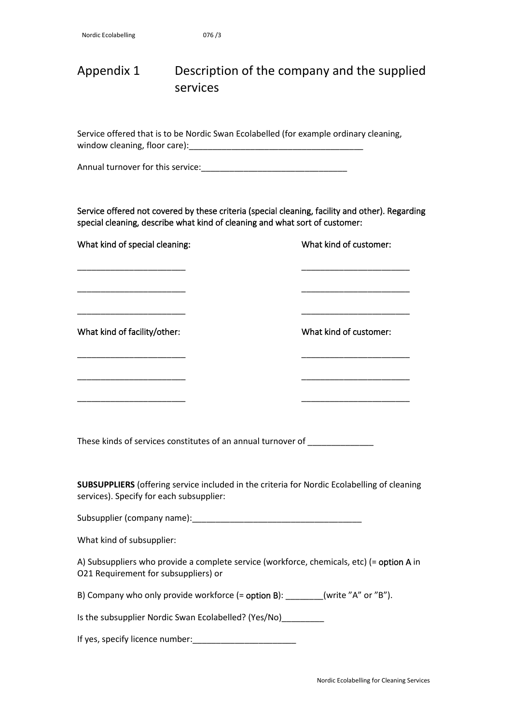## <span id="page-21-0"></span>Appendix 1 Description of the company and the supplied services

Service offered that is to be Nordic Swan Ecolabelled (for example ordinary cleaning, window cleaning, floor care):\_\_\_\_\_\_\_\_\_\_\_\_\_\_\_\_\_\_\_\_\_\_\_\_\_\_\_\_\_\_\_\_\_\_\_\_\_

Annual turnover for this service:\_\_\_\_\_\_\_\_\_\_\_\_\_\_\_\_\_\_\_\_\_\_\_\_\_\_\_\_\_\_\_

Service offered not covered by these criteria (special cleaning, facility and other). Regarding special cleaning, describe what kind of cleaning and what sort of customer:

\_\_\_\_\_\_\_\_\_\_\_\_\_\_\_\_\_\_\_\_\_\_\_ \_\_\_\_\_\_\_\_\_\_\_\_\_\_\_\_\_\_\_\_\_\_\_

\_\_\_\_\_\_\_\_\_\_\_\_\_\_\_\_\_\_\_\_\_\_\_ \_\_\_\_\_\_\_\_\_\_\_\_\_\_\_\_\_\_\_\_\_\_\_

\_\_\_\_\_\_\_\_\_\_\_\_\_\_\_\_\_\_\_\_\_\_\_ \_\_\_\_\_\_\_\_\_\_\_\_\_\_\_\_\_\_\_\_\_\_\_

\_\_\_\_\_\_\_\_\_\_\_\_\_\_\_\_\_\_\_\_\_\_\_ \_\_\_\_\_\_\_\_\_\_\_\_\_\_\_\_\_\_\_\_\_\_\_

\_\_\_\_\_\_\_\_\_\_\_\_\_\_\_\_\_\_\_\_\_\_\_ \_\_\_\_\_\_\_\_\_\_\_\_\_\_\_\_\_\_\_\_\_\_\_

\_\_\_\_\_\_\_\_\_\_\_\_\_\_\_\_\_\_\_\_\_\_\_ \_\_\_\_\_\_\_\_\_\_\_\_\_\_\_\_\_\_\_\_\_\_\_

What kind of special cleaning: What kind of customer:

What kind of facility/other: What kind of customer:

These kinds of services constitutes of an annual turnover of

**SUBSUPPLIERS** (offering service included in the criteria for Nordic Ecolabelling of cleaning services). Specify for each subsupplier:

Subsupplier (company name):

What kind of subsupplier:

A) Subsuppliers who provide a complete service (workforce, chemicals, etc) (= option A in O21 Requirement for subsuppliers) or

B) Company who only provide workforce (= option B): \_\_\_\_\_\_\_(write "A" or "B").

Is the subsupplier Nordic Swan Ecolabelled? (Yes/No)

If yes, specify licence number:\_\_\_\_\_\_\_\_\_\_\_\_\_\_\_\_\_\_\_\_\_\_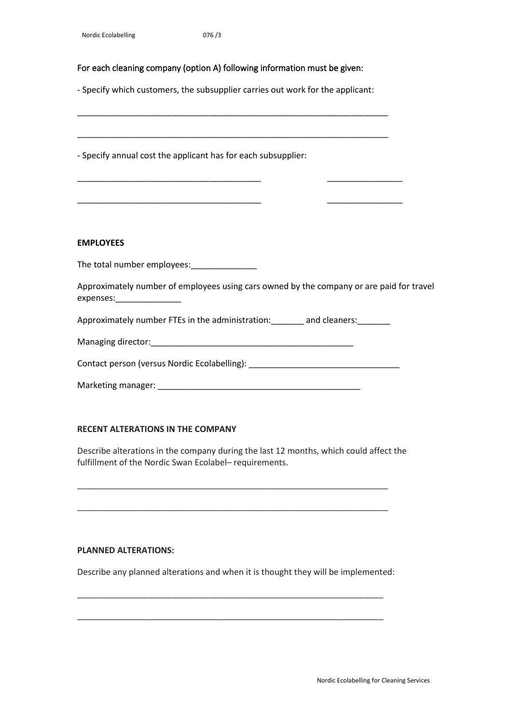#### For each cleaning company (option A) following information must be given:

- Specify which customers, the subsupplier carries out work for the applicant:

\_\_\_\_\_\_\_\_\_\_\_\_\_\_\_\_\_\_\_\_\_\_\_\_\_\_\_\_\_\_\_\_\_\_\_\_\_\_\_\_\_\_\_\_\_\_\_\_\_\_\_\_\_\_\_\_\_\_\_\_\_\_\_\_\_\_

\_\_\_\_\_\_\_\_\_\_\_\_\_\_\_\_\_\_\_\_\_\_\_\_\_\_\_\_\_\_\_\_\_\_\_\_\_\_\_\_\_\_\_\_\_\_\_\_\_\_\_\_\_\_\_\_\_\_\_\_\_\_\_\_\_\_

\_\_\_\_\_\_\_\_\_\_\_\_\_\_\_\_\_\_\_\_\_\_\_\_\_\_\_\_\_\_\_\_\_\_\_\_\_\_\_ \_\_\_\_\_\_\_\_\_\_\_\_\_\_\_\_

\_\_\_\_\_\_\_\_\_\_\_\_\_\_\_\_\_\_\_\_\_\_\_\_\_\_\_\_\_\_\_\_\_\_\_\_\_\_\_ \_\_\_\_\_\_\_\_\_\_\_\_\_\_\_\_

- Specify annual cost the applicant has for each subsupplier:

#### **EMPLOYEES**

The total number employees:\_\_\_\_\_\_\_\_\_\_\_\_\_\_

Approximately number of employees using cars owned by the company or are paid for travel expenses:

Approximately number FTEs in the administration: \_\_\_\_\_\_\_ and cleaners: \_\_\_\_\_\_\_\_

| Managing director: |  |
|--------------------|--|
|--------------------|--|

Contact person (versus Nordic Ecolabelling):

| Marketing manager: |
|--------------------|
|--------------------|

#### **RECENT ALTERATIONS IN THE COMPANY**

Describe alterations in the company during the last 12 months, which could affect the fulfillment of the Nordic Swan Ecolabel– requirements.

\_\_\_\_\_\_\_\_\_\_\_\_\_\_\_\_\_\_\_\_\_\_\_\_\_\_\_\_\_\_\_\_\_\_\_\_\_\_\_\_\_\_\_\_\_\_\_\_\_\_\_\_\_\_\_\_\_\_\_\_\_\_\_\_\_\_

\_\_\_\_\_\_\_\_\_\_\_\_\_\_\_\_\_\_\_\_\_\_\_\_\_\_\_\_\_\_\_\_\_\_\_\_\_\_\_\_\_\_\_\_\_\_\_\_\_\_\_\_\_\_\_\_\_\_\_\_\_\_\_\_\_\_

#### **PLANNED ALTERATIONS:**

Describe any planned alterations and when it is thought they will be implemented:

\_\_\_\_\_\_\_\_\_\_\_\_\_\_\_\_\_\_\_\_\_\_\_\_\_\_\_\_\_\_\_\_\_\_\_\_\_\_\_\_\_\_\_\_\_\_\_\_\_\_\_\_\_\_\_\_\_\_\_\_\_\_\_\_\_

\_\_\_\_\_\_\_\_\_\_\_\_\_\_\_\_\_\_\_\_\_\_\_\_\_\_\_\_\_\_\_\_\_\_\_\_\_\_\_\_\_\_\_\_\_\_\_\_\_\_\_\_\_\_\_\_\_\_\_\_\_\_\_\_\_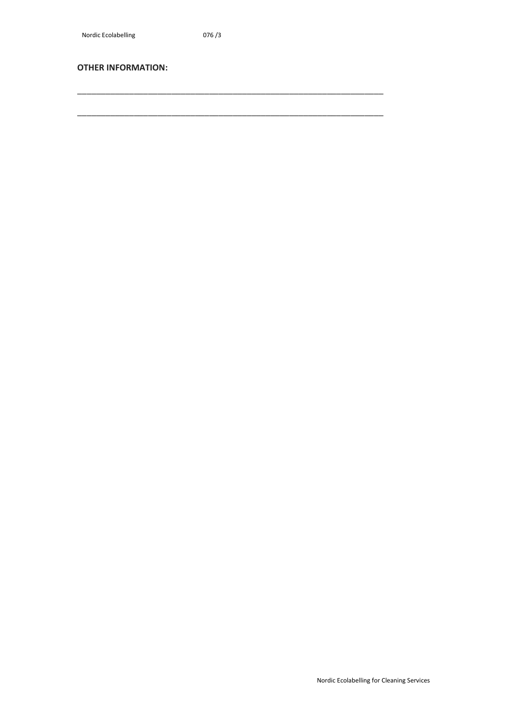\_\_\_\_\_\_\_\_\_\_\_\_\_\_\_\_\_\_\_\_\_\_\_\_\_\_\_\_\_\_\_\_\_\_\_\_\_\_\_\_\_\_\_\_\_\_\_\_\_\_\_\_\_\_\_\_\_\_\_\_\_\_\_\_\_

\_\_\_\_\_\_\_\_\_\_\_\_\_\_\_\_\_\_\_\_\_\_\_\_\_\_\_\_\_\_\_\_\_\_\_\_\_\_\_\_\_\_\_\_\_\_\_\_\_\_\_\_\_\_\_\_\_\_\_\_\_\_\_\_\_

#### **OTHER INFORMATION:**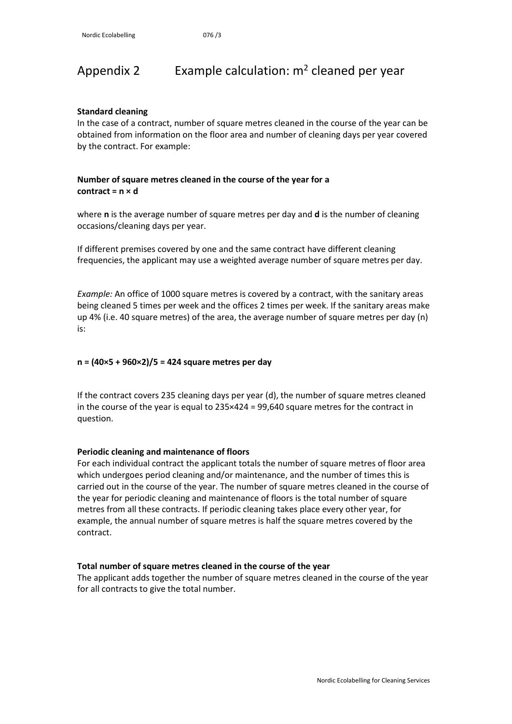# <span id="page-24-0"></span>Appendix 2 Example calculation:  $m^2$  cleaned per year

#### **Standard cleaning**

In the case of a contract, number of square metres cleaned in the course of the year can be obtained from information on the floor area and number of cleaning days per year covered by the contract. For example:

#### **Number of square metres cleaned in the course of the year for a contract = n × d**

where **n** is the average number of square metres per day and **d** is the number of cleaning occasions/cleaning days per year.

If different premises covered by one and the same contract have different cleaning frequencies, the applicant may use a weighted average number of square metres per day.

*Example:* An office of 1000 square metres is covered by a contract, with the sanitary areas being cleaned 5 times per week and the offices 2 times per week. If the sanitary areas make up 4% (i.e. 40 square metres) of the area, the average number of square metres per day (n) is:

#### **n = (40×5 + 960×2)/5 = 424 square metres per day**

If the contract covers 235 cleaning days per year (d), the number of square metres cleaned in the course of the year is equal to 235×424 = 99,640 square metres for the contract in question.

#### **Periodic cleaning and maintenance of floors**

For each individual contract the applicant totals the number of square metres of floor area which undergoes period cleaning and/or maintenance, and the number of times this is carried out in the course of the year. The number of square metres cleaned in the course of the year for periodic cleaning and maintenance of floors is the total number of square metres from all these contracts. If periodic cleaning takes place every other year, for example, the annual number of square metres is half the square metres covered by the contract.

#### **Total number of square metres cleaned in the course of the year**

The applicant adds together the number of square metres cleaned in the course of the year for all contracts to give the total number.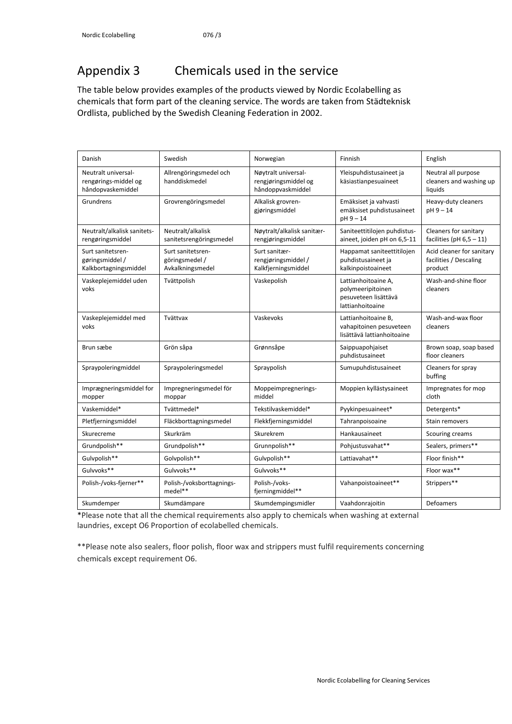# <span id="page-25-0"></span>Appendix 3 Chemicals used in the service

The table below provides examples of the products viewed by Nordic Ecolabelling as chemicals that form part of the cleaning service. The words are taken from Städteknisk Ordlista, publiched by the Swedish Cleaning Federation in 2002.

| Danish                                                           | Swedish                                                 | Norwegian                                                        | Finnish                                                                              | English                                                        |
|------------------------------------------------------------------|---------------------------------------------------------|------------------------------------------------------------------|--------------------------------------------------------------------------------------|----------------------------------------------------------------|
| Neutralt universal-<br>rengørings-middel og<br>håndopvaskemiddel | Allrengöringsmedel och<br>handdiskmedel                 | Nøytralt universal-<br>rengjøringsmiddel og<br>håndoppvaskmiddel | Yleispuhdistusaineet ja<br>käsiastianpesuaineet                                      | Neutral all purpose<br>cleaners and washing up<br>liquids      |
| Grundrens                                                        | Grovrengöringsmedel                                     | Alkalisk grovren-<br>gjøringsmiddel                              | Emäksiset ja vahvasti<br>emäksiset puhdistusaineet<br>pH 9 - 14                      | Heavy-duty cleaners<br>pH 9-14                                 |
| Neutralt/alkalisk sanitets-<br>rengøringsmiddel                  | Neutralt/alkalisk<br>sanitetsrengöringsmedel            | Nøytralt/alkalisk sanitær-<br>rengjøringsmiddel                  | Saniteettitilojen puhdistus-<br>aineet, joiden pH on 6,5-11                          | Cleaners for sanitary<br>facilities (pH $6,5-11$ )             |
| Surt sanitetsren-<br>gøringsmiddel/<br>Kalkbortagningsmiddel     | Surt sanitetsren-<br>göringsmedel /<br>Avkalkningsmedel | Surt sanitær-<br>rengjøringsmiddel/<br>Kalkfjerningsmiddel       | Happamat saniteettitilojen<br>puhdistusaineet ja<br>kalkinpoistoaineet               | Acid cleaner for sanitary<br>facilities / Descaling<br>product |
| Vaskeplejemiddel uden<br>voks                                    | Tvättpolish                                             | Vaskepolish                                                      | Lattianhoitoaine A,<br>polymeeripitoinen<br>pesuveteen lisättävä<br>lattianhoitoaine | Wash-and-shine floor<br>cleaners                               |
| Vaskeplejemiddel med<br>voks                                     | Tvättvax                                                | Vaskevoks                                                        | Lattianhoitoaine B,<br>vahapitoinen pesuveteen<br>lisättävä lattianhoitoaine         | Wash-and-wax floor<br>cleaners                                 |
| Brun sæbe                                                        | Grön såpa                                               | Grønnsåpe                                                        | Saippuapohjaiset<br>puhdistusaineet                                                  | Brown soap, soap based<br>floor cleaners                       |
| Spraypoleringmiddel                                              | Spraypoleringsmedel                                     | Spraypolish                                                      | Sumupuhdistusaineet                                                                  | Cleaners for spray<br>buffing                                  |
| Imprægneringsmiddel for<br>mopper                                | Impregneringsmedel för<br>moppar                        | Moppeimpregnerings-<br>middel                                    | Moppien kyllästysaineet                                                              | Impregnates for mop<br>cloth                                   |
| Vaskemiddel*                                                     | Tvättmedel*                                             | Tekstilvaskemiddel*                                              | Pyykinpesuaineet*                                                                    | Detergents*                                                    |
| Pletfjerningsmiddel                                              | Fläckborttagningsmedel                                  | Flekkfjerningsmiddel                                             | Tahranpoisoaine                                                                      | Stain removers                                                 |
| Skurecreme                                                       | Skurkräm                                                | Skurekrem                                                        | Hankausaineet                                                                        | Scouring creams                                                |
| Grundpolish**                                                    | Grundpolish**                                           | Grunnpolish**                                                    | Pohjustusvahat**                                                                     | Sealers, primers**                                             |
| Gulvpolish**                                                     | Golvpolish**                                            | Gulvpolish**                                                     | Lattiavahat**                                                                        | Floor finish**                                                 |
| Gulvvoks**                                                       | Gulvvoks**                                              | Gulvvoks**                                                       |                                                                                      | Floor wax**                                                    |
| Polish-/voks-fjerner**                                           | Polish-/voksborttagnings-<br>medel**                    | Polish-/voks-<br>fjerningmiddel**                                | Vahanpoistoaineet**                                                                  | Strippers**                                                    |
| Skumdemper                                                       | Skumdämpare                                             | Skumdempingsmidler                                               | Vaahdonrajoitin                                                                      | Defoamers                                                      |

\*Please note that all the chemical requirements also apply to chemicals when washing at external laundries, except O6 Proportion of ecolabelled chemicals.

\*\*Please note also sealers, floor polish, floor wax and strippers must fulfil requirements concerning chemicals except requirement O6.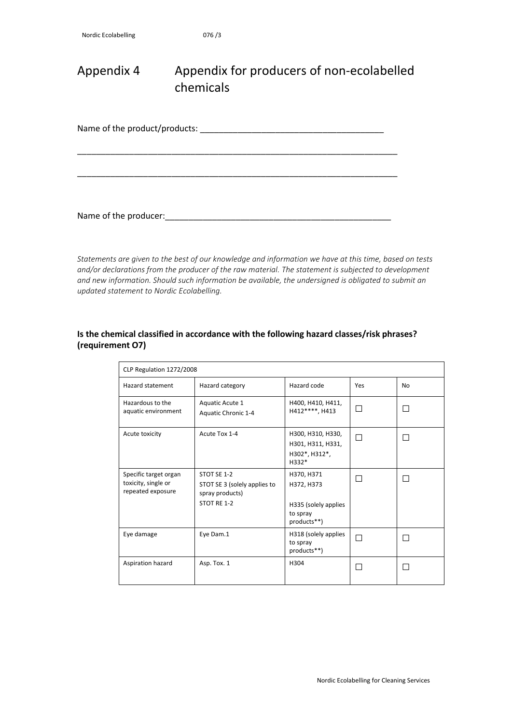## <span id="page-26-0"></span>Appendix 4 Appendix for producers of non-ecolabelled chemicals

Name of the product/products: \_\_\_\_\_\_\_\_\_\_\_\_\_\_\_\_\_\_\_\_\_\_\_\_\_\_\_\_\_\_\_\_\_\_\_\_\_\_\_

\_\_\_\_\_\_\_\_\_\_\_\_\_\_\_\_\_\_\_\_\_\_\_\_\_\_\_\_\_\_\_\_\_\_\_\_\_\_\_\_\_\_\_\_\_\_\_\_\_\_\_\_\_\_\_\_\_\_\_\_\_\_\_\_\_\_\_\_

\_\_\_\_\_\_\_\_\_\_\_\_\_\_\_\_\_\_\_\_\_\_\_\_\_\_\_\_\_\_\_\_\_\_\_\_\_\_\_\_\_\_\_\_\_\_\_\_\_\_\_\_\_\_\_\_\_\_\_\_\_\_\_\_\_\_\_\_

Name of the producer:<br> $\blacksquare$ 

*Statements are given to the best of our knowledge and information we have at this time, based on tests and/or declarations from the producer of the raw material. The statement is subjected to development and new information. Should such information be available, the undersigned is obligated to submit an updated statement to Nordic Ecolabelling.*

#### **Is the chemical classified in accordance with the following hazard classes/risk phrases? (requirement O7)**

| CLP Regulation 1272/2008                                          |                                                                               |                                                                             |        |              |  |
|-------------------------------------------------------------------|-------------------------------------------------------------------------------|-----------------------------------------------------------------------------|--------|--------------|--|
| Hazard statement                                                  | Hazard category                                                               | Hazard code                                                                 | Yes    | No           |  |
| Hazardous to the<br>aquatic environment                           | Aquatic Acute 1<br>Aquatic Chronic 1-4                                        | H400, H410, H411,<br>H412****, H413                                         | $\Box$ | $\mathbf{L}$ |  |
| Acute toxicity                                                    | Acute Tox 1-4                                                                 | H300, H310, H330,<br>H301, H311, H331,<br>H302*, H312*,<br>$H332*$          | □      |              |  |
| Specific target organ<br>toxicity, single or<br>repeated exposure | STOT SE 1-2<br>STOT SE 3 (solely applies to<br>spray products)<br>STOT RE 1-2 | H370, H371<br>H372, H373<br>H335 (solely applies<br>to spray<br>products**) |        | $\mathsf{L}$ |  |
| Eye damage                                                        | Eye Dam.1                                                                     | H318 (solely applies<br>to spray<br>products**)                             |        |              |  |
| Aspiration hazard                                                 | Asp. Tox. 1                                                                   | H304                                                                        |        |              |  |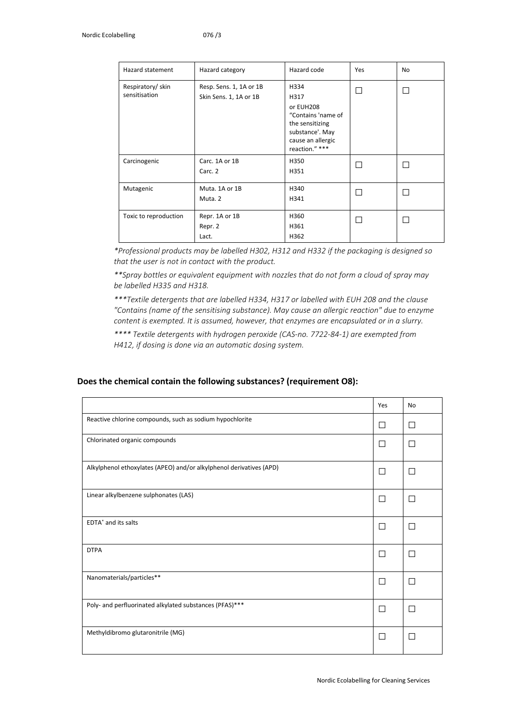| Hazard statement                  | Hazard category                                   | Hazard code                                                                                                                  | Yes    | No |
|-----------------------------------|---------------------------------------------------|------------------------------------------------------------------------------------------------------------------------------|--------|----|
| Respiratory/skin<br>sensitisation | Resp. Sens. 1, 1A or 1B<br>Skin Sens. 1, 1A or 1B | H334<br>H317<br>or EUH208<br>"Contains 'name of<br>the sensitizing<br>substance'. May<br>cause an allergic<br>reaction." *** | $\Box$ | П  |
| Carcinogenic                      | Carc. 1A or 1B<br>Carc. 2                         | H350<br>H351                                                                                                                 |        | П  |
| Mutagenic                         | Muta. 1A or 1B<br>Muta. 2                         | H340<br>H341                                                                                                                 |        |    |
| Toxic to reproduction             | Repr. 1A or 1B<br>Repr. 2<br>Lact.                | H360<br>H361<br>H362                                                                                                         |        | L  |

*\*Professional products may be labelled H302, H312 and H332 if the packaging is designed so that the user is not in contact with the product.* 

*\*\*Spray bottles or equivalent equipment with nozzles that do not form a cloud of spray may be labelled H335 and H318.* 

*\*\*\*Textile detergents that are labelled H334, H317 or labelled with EUH 208 and the clause "Contains (name of the sensitising substance). May cause an allergic reaction" due to enzyme content is exempted. It is assumed, however, that enzymes are encapsulated or in a slurry.* 

*\*\*\*\* Textile detergents with hydrogen peroxide (CAS-no. 7722-84-1) are exempted from H412, if dosing is done via an automatic dosing system.*

#### **Does the chemical contain the following substances? (requirement O8):**

|                                                                     | Yes          | No           |
|---------------------------------------------------------------------|--------------|--------------|
| Reactive chlorine compounds, such as sodium hypochlorite            | $\mathsf{L}$ | $\mathsf{L}$ |
| Chlorinated organic compounds                                       | $\mathsf{L}$ | П            |
| Alkylphenol ethoxylates (APEO) and/or alkylphenol derivatives (APD) | П            | П            |
| Linear alkylbenzene sulphonates (LAS)                               | П            | П            |
| EDTA <sup>*</sup> and its salts                                     | П            | П            |
| <b>DTPA</b>                                                         | П            | П            |
| Nanomaterials/particles**                                           | П            | П            |
| Poly- and perfluorinated alkylated substances (PFAS)***             | П            | П            |
| Methyldibromo glutaronitrile (MG)                                   | П            | П            |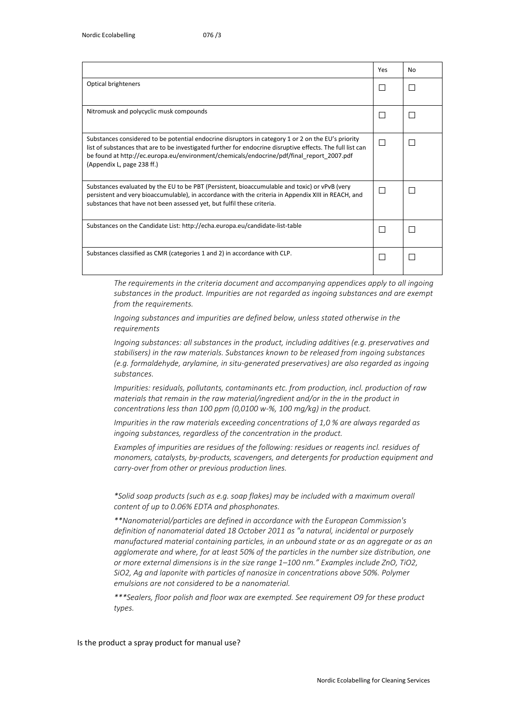|                                                                                                                                                                                                                                                                                                                                             | Yes          | No           |
|---------------------------------------------------------------------------------------------------------------------------------------------------------------------------------------------------------------------------------------------------------------------------------------------------------------------------------------------|--------------|--------------|
| Optical brighteners                                                                                                                                                                                                                                                                                                                         |              |              |
| Nitromusk and polycyclic musk compounds                                                                                                                                                                                                                                                                                                     | $\Box$       | $\mathsf{L}$ |
| Substances considered to be potential endocrine disruptors in category 1 or 2 on the EU's priority<br>list of substances that are to be investigated further for endocrine disruptive effects. The full list can<br>be found at http://ec.europa.eu/environment/chemicals/endocrine/pdf/final report 2007.pdf<br>(Appendix L, page 238 ff.) | П            |              |
| Substances evaluated by the EU to be PBT (Persistent, bioaccumulable and toxic) or vPvB (very<br>persistent and very bioaccumulable), in accordance with the criteria in Appendix XIII in REACH, and<br>substances that have not been assessed yet, but fulfil these criteria.                                                              | П            |              |
| Substances on the Candidate List: http://echa.europa.eu/candidate-list-table                                                                                                                                                                                                                                                                | $\mathsf{L}$ | H            |
| Substances classified as CMR (categories 1 and 2) in accordance with CLP.                                                                                                                                                                                                                                                                   |              |              |

*The requirements in the criteria document and accompanying appendices apply to all ingoing substances in the product. Impurities are not regarded as ingoing substances and are exempt from the requirements.*

*Ingoing substances and impurities are defined below, unless stated otherwise in the requirements*

*Ingoing substances: all substances in the product, including additives (e.g. preservatives and stabilisers) in the raw materials. Substances known to be released from ingoing substances (e.g. formaldehyde, arylamine, in situ-generated preservatives) are also regarded as ingoing substances.*

*Impurities: residuals, pollutants, contaminants etc. from production, incl. production of raw materials that remain in the raw material/ingredient and/or in the in the product in concentrations less than 100 ppm (0,0100 w-%, 100 mg/kg) in the product.* 

*Impurities in the raw materials exceeding concentrations of 1,0 % are always regarded as ingoing substances, regardless of the concentration in the product.*

Examples of impurities are residues of the following: residues or reagents incl. residues of *monomers, catalysts, by-products, scavengers, and detergents for production equipment and carry-over from other or previous production lines.*

*\*Solid soap products (such as e.g. soap flakes) may be included with a maximum overall content of up to 0.06% EDTA and phosphonates.* 

*\*\*Nanomaterial/particles are defined in accordance with the European Commission's definition of nanomaterial dated 18 October 2011 as "a natural, incidental or purposely manufactured material containing particles, in an unbound state or as an aggregate or as an agglomerate and where, for at least 50% of the particles in the number size distribution, one or more external dimensions is in the size range 1–100 nm." Examples include ZnO, TiO2, SiO2, Ag and laponite with particles of nanosize in concentrations above 50%. Polymer emulsions are not considered to be a nanomaterial.*

*\*\*\*Sealers, floor polish and floor wax are exempted. See requirement O9 for these product types.*

#### Is the product a spray product for manual use?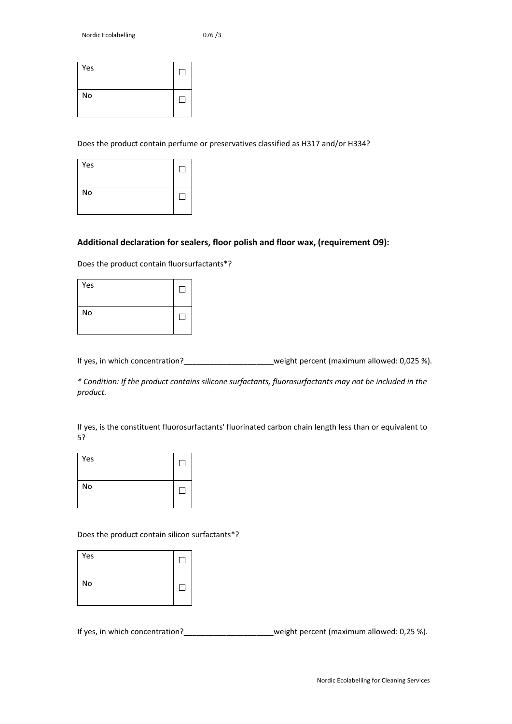| Yes | $\overline{\phantom{a}}$ |
|-----|--------------------------|
| No  |                          |

Does the product contain perfume or preservatives classified as H317 and/or H334?

| Yes |  |
|-----|--|
| No  |  |

#### **Additional declaration for sealers, floor polish and floor wax, (requirement O9):**

Does the product contain fluorsurfactants\*?

| Yes |  |
|-----|--|
| No  |  |

If yes, in which concentration?\_\_\_\_\_\_\_\_\_\_\_\_\_\_\_\_\_\_\_\_\_weight percent (maximum allowed: 0,025 %).

*\* Condition: If the product contains silicone surfactants, fluorosurfactants may not be included in the product.*

If yes, is the constituent fluorosurfactants' fluorinated carbon chain length less than or equivalent to 5?

| Yes |  |
|-----|--|
| No  |  |

Does the product contain silicon surfactants\*?

| Yes |  |
|-----|--|
| No  |  |

If yes, in which concentration?<br>Let us weight percent (maximum allowed: 0,25 %).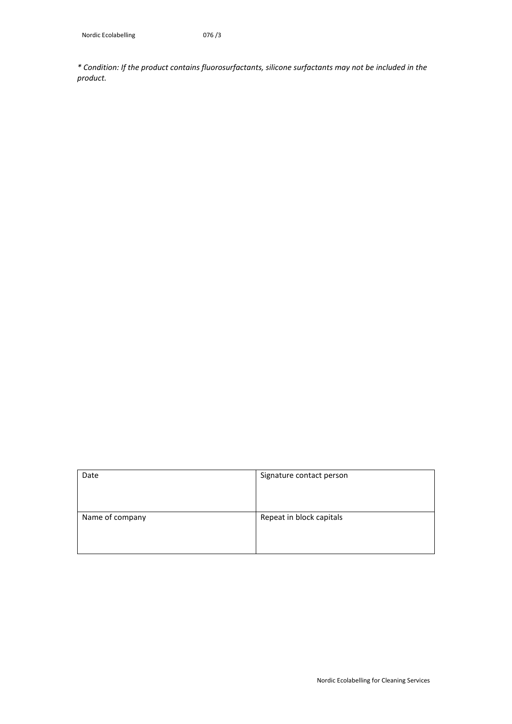*\* Condition: If the product contains fluorosurfactants, silicone surfactants may not be included in the product.*

| Date            | Signature contact person |
|-----------------|--------------------------|
| Name of company | Repeat in block capitals |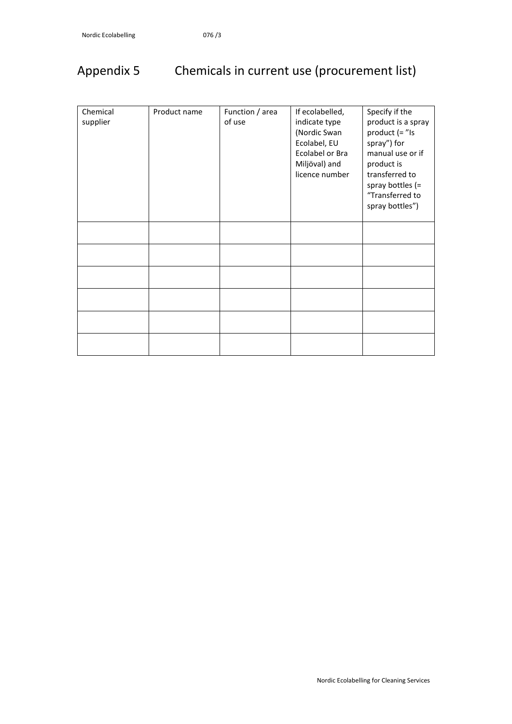# <span id="page-31-0"></span>Appendix 5 Chemicals in current use (procurement list)

| Chemical<br>supplier | Product name | Function / area<br>of use | If ecolabelled,<br>indicate type<br>(Nordic Swan<br>Ecolabel, EU<br>Ecolabel or Bra<br>Miljöval) and<br>licence number | Specify if the<br>product is a spray<br>product $($ = "Is<br>spray") for<br>manual use or if<br>product is<br>transferred to<br>spray bottles $(=$<br>"Transferred to |
|----------------------|--------------|---------------------------|------------------------------------------------------------------------------------------------------------------------|-----------------------------------------------------------------------------------------------------------------------------------------------------------------------|
|                      |              |                           |                                                                                                                        | spray bottles")                                                                                                                                                       |
|                      |              |                           |                                                                                                                        |                                                                                                                                                                       |
|                      |              |                           |                                                                                                                        |                                                                                                                                                                       |
|                      |              |                           |                                                                                                                        |                                                                                                                                                                       |
|                      |              |                           |                                                                                                                        |                                                                                                                                                                       |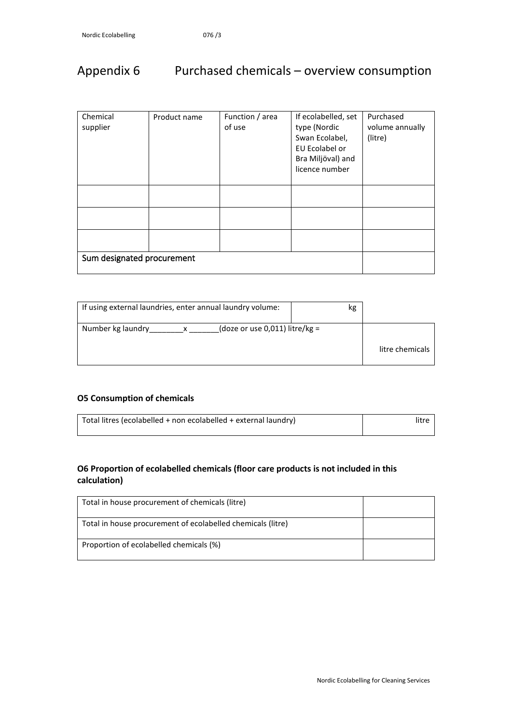# <span id="page-32-0"></span>Appendix 6 Purchased chemicals – overview consumption

| Chemical<br>supplier       | Product name | Function / area<br>of use | If ecolabelled, set<br>type (Nordic<br>Swan Ecolabel,<br>EU Ecolabel or<br>Bra Miljöval) and<br>licence number | Purchased<br>volume annually<br>(litre) |
|----------------------------|--------------|---------------------------|----------------------------------------------------------------------------------------------------------------|-----------------------------------------|
|                            |              |                           |                                                                                                                |                                         |
|                            |              |                           |                                                                                                                |                                         |
|                            |              |                           |                                                                                                                |                                         |
| Sum designated procurement |              |                           |                                                                                                                |                                         |

| If using external laundries, enter annual laundry volume: | kg |                 |
|-----------------------------------------------------------|----|-----------------|
| (doze or use 0,011) litre/kg =<br>Number kg laundry       |    | litre chemicals |

#### **O5 Consumption of chemicals**

| Total litres (ecolabelled + non ecolabelled + external laundry) | litre |
|-----------------------------------------------------------------|-------|
|                                                                 |       |

#### **O6 Proportion of ecolabelled chemicals (floor care products is not included in this calculation)**

| Total in house procurement of chemicals (litre)             |  |
|-------------------------------------------------------------|--|
| Total in house procurement of ecolabelled chemicals (litre) |  |
| Proportion of ecolabelled chemicals (%)                     |  |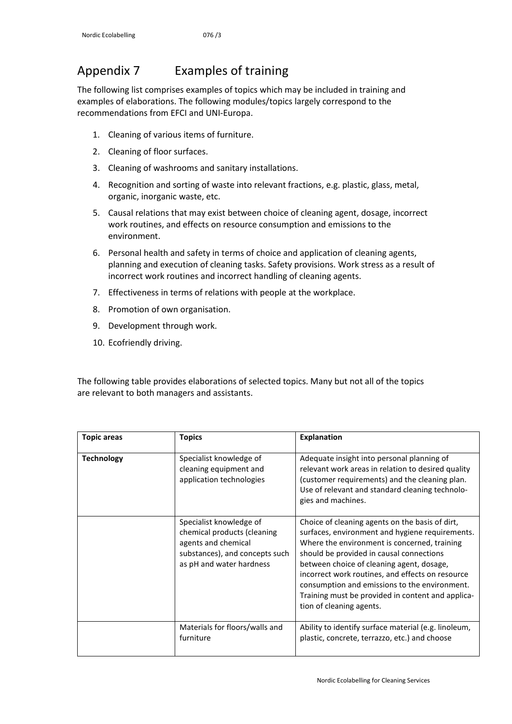# <span id="page-33-0"></span>Appendix 7 Examples of training

The following list comprises examples of topics which may be included in training and examples of elaborations. The following modules/topics largely correspond to the recommendations from EFCI and UNI-Europa.

- 1. Cleaning of various items of furniture.
- 2. Cleaning of floor surfaces.
- 3. Cleaning of washrooms and sanitary installations.
- 4. Recognition and sorting of waste into relevant fractions, e.g. plastic, glass, metal, organic, inorganic waste, etc.
- 5. Causal relations that may exist between choice of cleaning agent, dosage, incorrect work routines, and effects on resource consumption and emissions to the environment.
- 6. Personal health and safety in terms of choice and application of cleaning agents, planning and execution of cleaning tasks. Safety provisions. Work stress as a result of incorrect work routines and incorrect handling of cleaning agents.
- 7. Effectiveness in terms of relations with people at the workplace.
- 8. Promotion of own organisation.
- 9. Development through work.
- 10. Ecofriendly driving.

The following table provides elaborations of selected topics. Many but not all of the topics are relevant to both managers and assistants.

| <b>Topic areas</b> | <b>Topics</b>                                                                                                                               | <b>Explanation</b>                                                                                                                                                                                                                                                                                                                                                                                                                |
|--------------------|---------------------------------------------------------------------------------------------------------------------------------------------|-----------------------------------------------------------------------------------------------------------------------------------------------------------------------------------------------------------------------------------------------------------------------------------------------------------------------------------------------------------------------------------------------------------------------------------|
| <b>Technology</b>  | Specialist knowledge of<br>cleaning equipment and<br>application technologies                                                               | Adequate insight into personal planning of<br>relevant work areas in relation to desired quality<br>(customer requirements) and the cleaning plan.<br>Use of relevant and standard cleaning technolo-<br>gies and machines.                                                                                                                                                                                                       |
|                    | Specialist knowledge of<br>chemical products (cleaning<br>agents and chemical<br>substances), and concepts such<br>as pH and water hardness | Choice of cleaning agents on the basis of dirt,<br>surfaces, environment and hygiene requirements.<br>Where the environment is concerned, training<br>should be provided in causal connections<br>between choice of cleaning agent, dosage,<br>incorrect work routines, and effects on resource<br>consumption and emissions to the environment.<br>Training must be provided in content and applica-<br>tion of cleaning agents. |
|                    | Materials for floors/walls and<br>furniture                                                                                                 | Ability to identify surface material (e.g. linoleum,<br>plastic, concrete, terrazzo, etc.) and choose                                                                                                                                                                                                                                                                                                                             |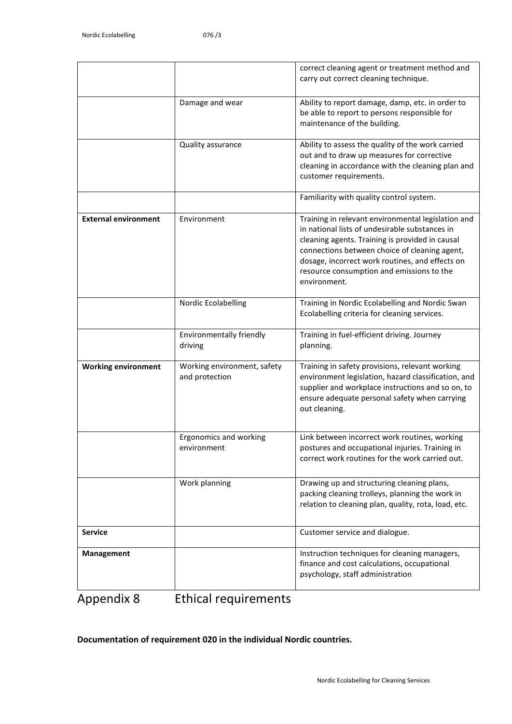|                             |                                               | correct cleaning agent or treatment method and<br>carry out correct cleaning technique.                                                                                                                                                                                                                                  |
|-----------------------------|-----------------------------------------------|--------------------------------------------------------------------------------------------------------------------------------------------------------------------------------------------------------------------------------------------------------------------------------------------------------------------------|
|                             | Damage and wear                               | Ability to report damage, damp, etc. in order to<br>be able to report to persons responsible for<br>maintenance of the building.                                                                                                                                                                                         |
|                             | Quality assurance                             | Ability to assess the quality of the work carried<br>out and to draw up measures for corrective<br>cleaning in accordance with the cleaning plan and<br>customer requirements.                                                                                                                                           |
|                             |                                               | Familiarity with quality control system.                                                                                                                                                                                                                                                                                 |
| <b>External environment</b> | Environment                                   | Training in relevant environmental legislation and<br>in national lists of undesirable substances in<br>cleaning agents. Training is provided in causal<br>connections between choice of cleaning agent,<br>dosage, incorrect work routines, and effects on<br>resource consumption and emissions to the<br>environment. |
|                             | Nordic Ecolabelling                           | Training in Nordic Ecolabelling and Nordic Swan<br>Ecolabelling criteria for cleaning services.                                                                                                                                                                                                                          |
|                             | Environmentally friendly<br>driving           | Training in fuel-efficient driving. Journey<br>planning.                                                                                                                                                                                                                                                                 |
| <b>Working environment</b>  | Working environment, safety<br>and protection | Training in safety provisions, relevant working<br>environment legislation, hazard classification, and<br>supplier and workplace instructions and so on, to<br>ensure adequate personal safety when carrying<br>out cleaning.                                                                                            |
|                             | Ergonomics and working<br>environment         | Link between incorrect work routines, working<br>postures and occupational injuries. Training in<br>correct work routines for the work carried out.                                                                                                                                                                      |
|                             | Work planning                                 | Drawing up and structuring cleaning plans,<br>packing cleaning trolleys, planning the work in<br>relation to cleaning plan, quality, rota, load, etc.                                                                                                                                                                    |
| <b>Service</b>              |                                               | Customer service and dialogue.                                                                                                                                                                                                                                                                                           |
| Management                  |                                               | Instruction techniques for cleaning managers,<br>finance and cost calculations, occupational<br>psychology, staff administration                                                                                                                                                                                         |

<span id="page-34-0"></span>Appendix 8 Ethical requirements

**Documentation of requirement 020 in the individual Nordic countries.**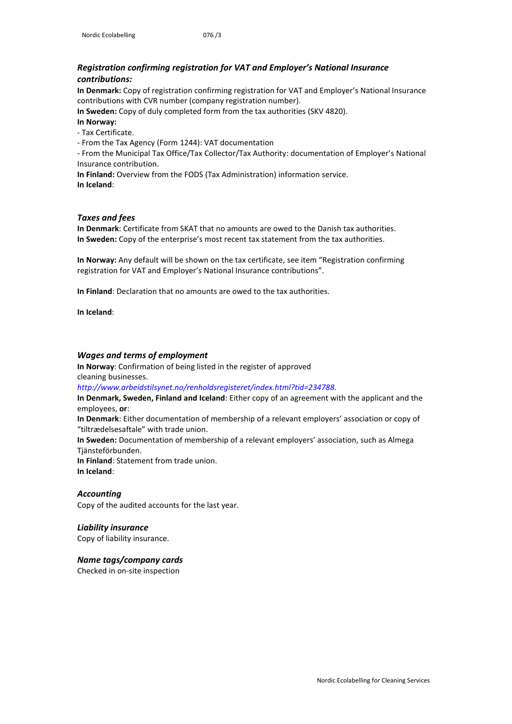#### *Registration confirming registration for VAT and Employer's National Insurance contributions:*

**In Denmark:** Copy of registration confirming registration for VAT and Employer's National Insurance contributions with CVR number (company registration number).

**In Sweden:** Copy of duly completed form from the tax authorities (SKV 4820).

**In Norway:** 

- Tax Certificate.

- From the Tax Agency (Form 1244): VAT documentation

- From the Municipal Tax Office/Tax Collector/Tax Authority: documentation of Employer's National Insurance contribution.

**In Finland:** Overview from the FODS (Tax Administration) information service. **In Iceland**:

#### *Taxes and fees*

**In Denmark**: Certificate from SKAT that no amounts are owed to the Danish tax authorities. **In Sweden:** Copy of the enterprise's most recent tax statement from the tax authorities.

**In Norway:** Any default will be shown on the tax certificate, see item "Registration confirming registration for VAT and Employer's National Insurance contributions".

**In Finland**: Declaration that no amounts are owed to the tax authorities.

**In Iceland**:

#### *Wages and terms of employment*

**In Norway**: Confirmation of being listed in the register of approved cleaning businesses.

*http://www.arbeidstilsynet.no/renholdsregisteret/index.html?tid=234788.*

**In Denmark, Sweden, Finland and Iceland**: Either copy of an agreement with the applicant and the employees, **or**:

**In Denmark**: Either documentation of membership of a relevant employers' association or copy of "tiltrædelsesaftale" with trade union.

**In Sweden:** Documentation of membership of a relevant employers' association, such as Almega Tjänsteförbunden.

**In Finland**: Statement from trade union. **In Iceland**:

#### *Accounting*

Copy of the audited accounts for the last year.

#### *Liability insurance*

Copy of liability insurance.

#### *Name tags/company cards*

Checked in on-site inspection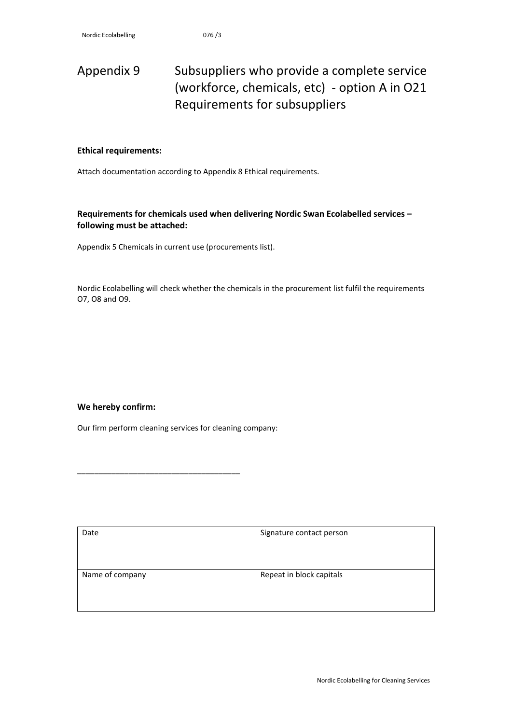# <span id="page-36-0"></span>Appendix 9 Subsuppliers who provide a complete service (workforce, chemicals, etc) - option A in O21 Requirements for subsuppliers

#### **Ethical requirements:**

Attach documentation according to Appendix 8 Ethical requirements.

**Requirements for chemicals used when delivering Nordic Swan Ecolabelled services – following must be attached:**

Appendix 5 Chemicals in current use (procurements list).

Nordic Ecolabelling will check whether the chemicals in the procurement list fulfil the requirements O7, O8 and O9.

#### **We hereby confirm:**

Our firm perform cleaning services for cleaning company:

\_\_\_\_\_\_\_\_\_\_\_\_\_\_\_\_\_\_\_\_\_\_\_\_\_\_\_\_\_\_\_\_\_\_\_\_\_\_

| Date            | Signature contact person |
|-----------------|--------------------------|
| Name of company | Repeat in block capitals |